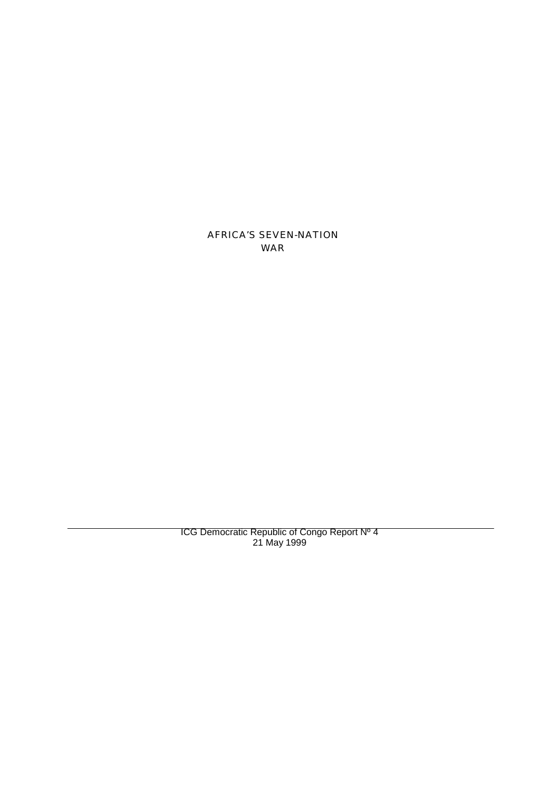AFRICA'S SEVEN-NATION WAR

ICG Democratic Republic of Congo Report Nº 4 21 May 1999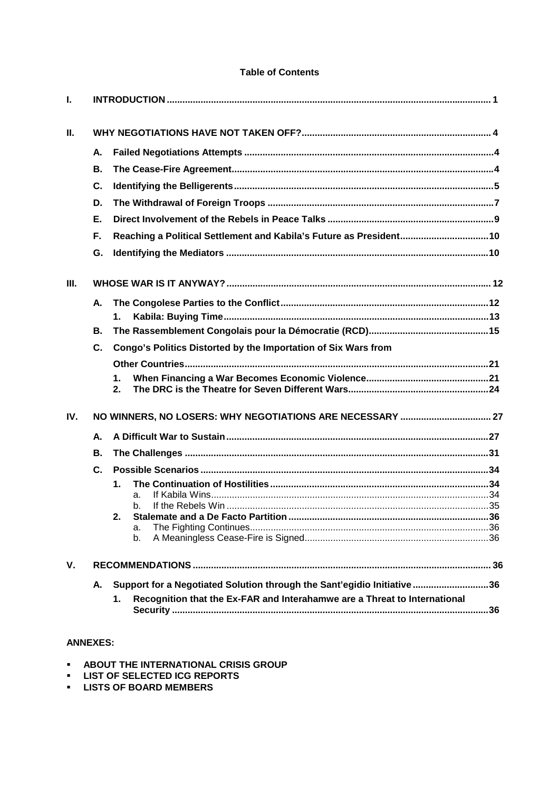## **Table of Contents**

| L    |                |                                                                                 |  |
|------|----------------|---------------------------------------------------------------------------------|--|
| Ш.   |                |                                                                                 |  |
|      | Α.             |                                                                                 |  |
|      | В.             |                                                                                 |  |
|      | C.             |                                                                                 |  |
|      | D.             |                                                                                 |  |
|      | Ε.             |                                                                                 |  |
|      | F.             | Reaching a Political Settlement and Kabila's Future as President10              |  |
|      | G.             |                                                                                 |  |
| III. |                |                                                                                 |  |
|      | А.             |                                                                                 |  |
|      |                | 1.                                                                              |  |
|      | В.             |                                                                                 |  |
|      | C.             | Congo's Politics Distorted by the Importation of Six Wars from                  |  |
|      |                |                                                                                 |  |
|      |                | 1.<br>2.                                                                        |  |
| IV.  |                |                                                                                 |  |
|      | А.             |                                                                                 |  |
|      | В.             |                                                                                 |  |
|      | $\mathbf{C}$ . |                                                                                 |  |
|      |                | 1.                                                                              |  |
|      |                | a.<br>b.                                                                        |  |
|      |                | 2.                                                                              |  |
|      |                | a.                                                                              |  |
|      |                | b.                                                                              |  |
| V.   |                |                                                                                 |  |
|      | А.             | Support for a Negotiated Solution through the Sant'egidio Initiative36          |  |
|      |                | Recognition that the Ex-FAR and Interahamwe are a Threat to International<br>1. |  |

# **ANNEXES:**

- **ABOUT THE INTERNATIONAL CRISIS GROUP**
- **LIST OF SELECTED ICG REPORTS**
- **LISTS OF BOARD MEMBERS**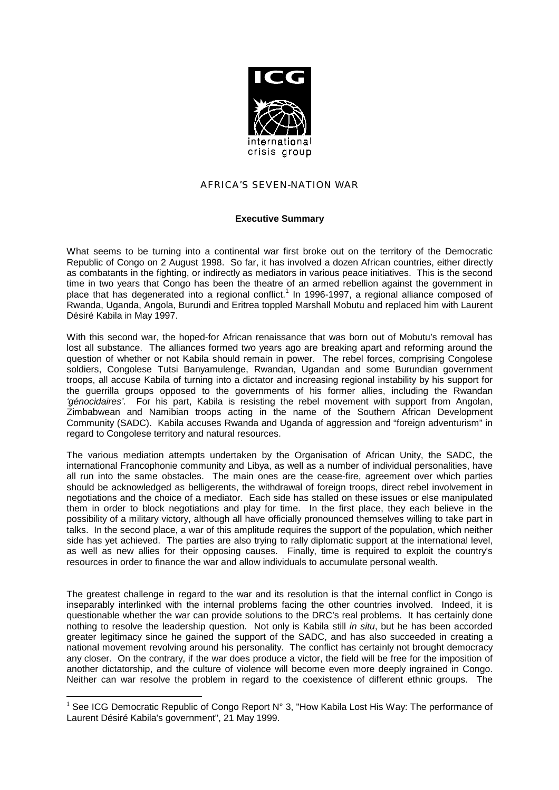

## AFRICA'S SEVEN-NATION WAR

### **Executive Summary**

What seems to be turning into a continental war first broke out on the territory of the Democratic Republic of Congo on 2 August 1998. So far, it has involved a dozen African countries, either directly as combatants in the fighting, or indirectly as mediators in various peace initiatives. This is the second time in two years that Congo has been the theatre of an armed rebellion against the government in place that has degenerated into a regional conflict.<sup>1</sup> In 1996-1997, a regional alliance composed of Rwanda, Uganda, Angola, Burundi and Eritrea toppled Marshall Mobutu and replaced him with Laurent Désiré Kabila in May 1997.

With this second war, the hoped-for African renaissance that was born out of Mobutu's removal has lost all substance. The alliances formed two years ago are breaking apart and reforming around the question of whether or not Kabila should remain in power. The rebel forces, comprising Congolese soldiers, Congolese Tutsi Banyamulenge, Rwandan, Ugandan and some Burundian government troops, all accuse Kabila of turning into a dictator and increasing regional instability by his support for the guerrilla groups opposed to the governments of his former allies, including the Rwandan *'génocidaires'*. For his part, Kabila is resisting the rebel movement with support from Angolan, Zimbabwean and Namibian troops acting in the name of the Southern African Development Community (SADC). Kabila accuses Rwanda and Uganda of aggression and "foreign adventurism" in regard to Congolese territory and natural resources.

The various mediation attempts undertaken by the Organisation of African Unity, the SADC, the international Francophonie community and Libya, as well as a number of individual personalities, have all run into the same obstacles. The main ones are the cease-fire, agreement over which parties should be acknowledged as belligerents, the withdrawal of foreign troops, direct rebel involvement in negotiations and the choice of a mediator. Each side has stalled on these issues or else manipulated them in order to block negotiations and play for time. In the first place, they each believe in the possibility of a military victory, although all have officially pronounced themselves willing to take part in talks. In the second place, a war of this amplitude requires the support of the population, which neither side has yet achieved. The parties are also trying to rally diplomatic support at the international level, as well as new allies for their opposing causes. Finally, time is required to exploit the country's resources in order to finance the war and allow individuals to accumulate personal wealth.

The greatest challenge in regard to the war and its resolution is that the internal conflict in Congo is inseparably interlinked with the internal problems facing the other countries involved. Indeed, it is questionable whether the war can provide solutions to the DRC's real problems. It has certainly done nothing to resolve the leadership question. Not only is Kabila still *in situ*, but he has been accorded greater legitimacy since he gained the support of the SADC, and has also succeeded in creating a national movement revolving around his personality. The conflict has certainly not brought democracy any closer. On the contrary, if the war does produce a victor, the field will be free for the imposition of another dictatorship, and the culture of violence will become even more deeply ingrained in Congo. Neither can war resolve the problem in regard to the coexistence of different ethnic groups. The

l

<sup>&</sup>lt;sup>1</sup> See ICG Democratic Republic of Congo Report N° 3, "How Kabila Lost His Way: The performance of Laurent Désiré Kabila's government", 21 May 1999.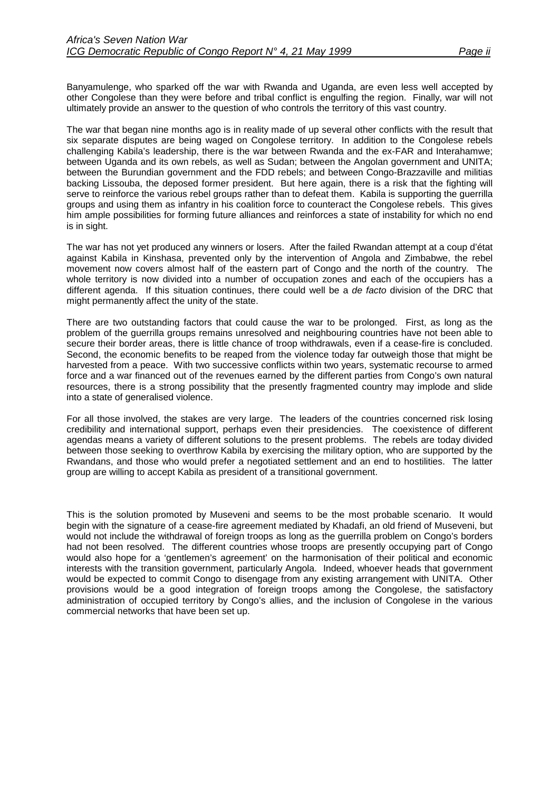Banyamulenge, who sparked off the war with Rwanda and Uganda, are even less well accepted by other Congolese than they were before and tribal conflict is engulfing the region. Finally, war will not ultimately provide an answer to the question of who controls the territory of this vast country.

The war that began nine months ago is in reality made of up several other conflicts with the result that six separate disputes are being waged on Congolese territory. In addition to the Congolese rebels challenging Kabila's leadership, there is the war between Rwanda and the ex-FAR and Interahamwe; between Uganda and its own rebels, as well as Sudan; between the Angolan government and UNITA; between the Burundian government and the FDD rebels; and between Congo-Brazzaville and militias backing Lissouba, the deposed former president. But here again, there is a risk that the fighting will serve to reinforce the various rebel groups rather than to defeat them. Kabila is supporting the guerrilla groups and using them as infantry in his coalition force to counteract the Congolese rebels. This gives him ample possibilities for forming future alliances and reinforces a state of instability for which no end is in sight.

The war has not yet produced any winners or losers. After the failed Rwandan attempt at a coup d'état against Kabila in Kinshasa, prevented only by the intervention of Angola and Zimbabwe, the rebel movement now covers almost half of the eastern part of Congo and the north of the country. The whole territory is now divided into a number of occupation zones and each of the occupiers has a different agenda. If this situation continues, there could well be a *de facto* division of the DRC that might permanently affect the unity of the state.

There are two outstanding factors that could cause the war to be prolonged. First, as long as the problem of the guerrilla groups remains unresolved and neighbouring countries have not been able to secure their border areas, there is little chance of troop withdrawals, even if a cease-fire is concluded. Second, the economic benefits to be reaped from the violence today far outweigh those that might be harvested from a peace. With two successive conflicts within two years, systematic recourse to armed force and a war financed out of the revenues earned by the different parties from Congo's own natural resources, there is a strong possibility that the presently fragmented country may implode and slide into a state of generalised violence.

For all those involved, the stakes are very large. The leaders of the countries concerned risk losing credibility and international support, perhaps even their presidencies. The coexistence of different agendas means a variety of different solutions to the present problems. The rebels are today divided between those seeking to overthrow Kabila by exercising the military option, who are supported by the Rwandans, and those who would prefer a negotiated settlement and an end to hostilities. The latter group are willing to accept Kabila as president of a transitional government.

This is the solution promoted by Museveni and seems to be the most probable scenario. It would begin with the signature of a cease-fire agreement mediated by Khadafi, an old friend of Museveni, but would not include the withdrawal of foreign troops as long as the guerrilla problem on Congo's borders had not been resolved. The different countries whose troops are presently occupying part of Congo would also hope for a 'gentlemen's agreement' on the harmonisation of their political and economic interests with the transition government, particularly Angola. Indeed, whoever heads that government would be expected to commit Congo to disengage from any existing arrangement with UNITA. Other provisions would be a good integration of foreign troops among the Congolese, the satisfactory administration of occupied territory by Congo's allies, and the inclusion of Congolese in the various commercial networks that have been set up.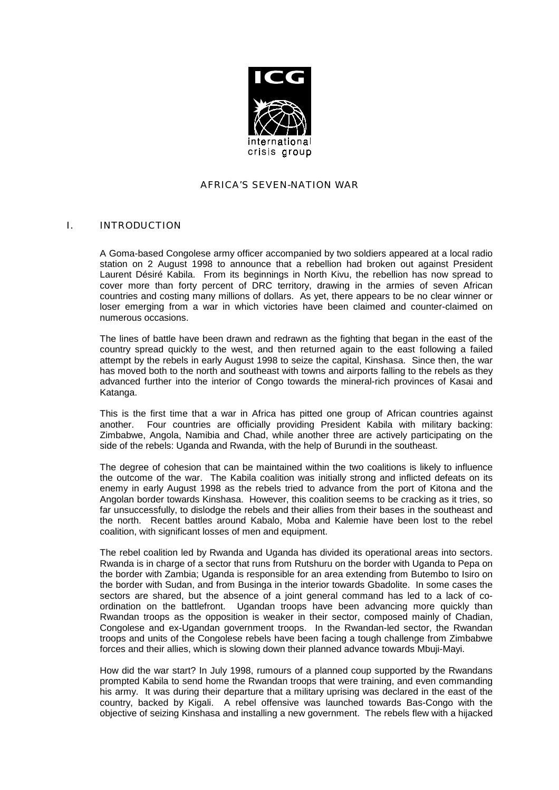

### AFRICA'S SEVEN-NATION WAR

### <span id="page-4-0"></span>I. INTRODUCTION

A Goma-based Congolese army officer accompanied by two soldiers appeared at a local radio station on 2 August 1998 to announce that a rebellion had broken out against President Laurent Désiré Kabila. From its beginnings in North Kivu, the rebellion has now spread to cover more than forty percent of DRC territory, drawing in the armies of seven African countries and costing many millions of dollars. As yet, there appears to be no clear winner or loser emerging from a war in which victories have been claimed and counter-claimed on numerous occasions.

The lines of battle have been drawn and redrawn as the fighting that began in the east of the country spread quickly to the west, and then returned again to the east following a failed attempt by the rebels in early August 1998 to seize the capital, Kinshasa. Since then, the war has moved both to the north and southeast with towns and airports falling to the rebels as they advanced further into the interior of Congo towards the mineral-rich provinces of Kasai and Katanga.

This is the first time that a war in Africa has pitted one group of African countries against another. Four countries are officially providing President Kabila with military backing: Zimbabwe, Angola, Namibia and Chad, while another three are actively participating on the side of the rebels: Uganda and Rwanda, with the help of Burundi in the southeast.

The degree of cohesion that can be maintained within the two coalitions is likely to influence the outcome of the war. The Kabila coalition was initially strong and inflicted defeats on its enemy in early August 1998 as the rebels tried to advance from the port of Kitona and the Angolan border towards Kinshasa. However, this coalition seems to be cracking as it tries, so far unsuccessfully, to dislodge the rebels and their allies from their bases in the southeast and the north. Recent battles around Kabalo, Moba and Kalemie have been lost to the rebel coalition, with significant losses of men and equipment.

The rebel coalition led by Rwanda and Uganda has divided its operational areas into sectors. Rwanda is in charge of a sector that runs from Rutshuru on the border with Uganda to Pepa on the border with Zambia; Uganda is responsible for an area extending from Butembo to Isiro on the border with Sudan, and from Businga in the interior towards Gbadolite. In some cases the sectors are shared, but the absence of a joint general command has led to a lack of coordination on the battlefront. Ugandan troops have been advancing more quickly than Rwandan troops as the opposition is weaker in their sector, composed mainly of Chadian, Congolese and ex-Ugandan government troops. In the Rwandan-led sector, the Rwandan troops and units of the Congolese rebels have been facing a tough challenge from Zimbabwe forces and their allies, which is slowing down their planned advance towards Mbuji-Mayi.

How did the war start? In July 1998, rumours of a planned coup supported by the Rwandans prompted Kabila to send home the Rwandan troops that were training, and even commanding his army. It was during their departure that a military uprising was declared in the east of the country, backed by Kigali. A rebel offensive was launched towards Bas-Congo with the objective of seizing Kinshasa and installing a new government. The rebels flew with a hijacked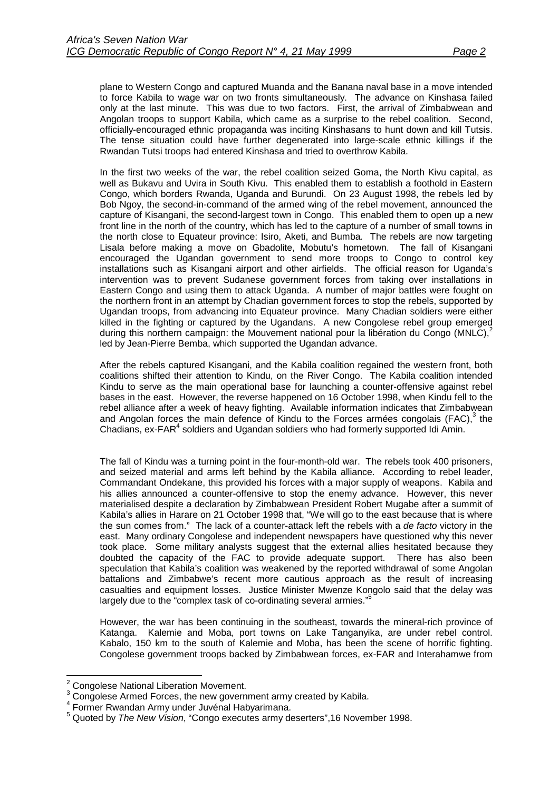plane to Western Congo and captured Muanda and the Banana naval base in a move intended to force Kabila to wage war on two fronts simultaneously. The advance on Kinshasa failed only at the last minute. This was due to two factors. First, the arrival of Zimbabwean and Angolan troops to support Kabila, which came as a surprise to the rebel coalition. Second, officially-encouraged ethnic propaganda was inciting Kinshasans to hunt down and kill Tutsis. The tense situation could have further degenerated into large-scale ethnic killings if the Rwandan Tutsi troops had entered Kinshasa and tried to overthrow Kabila.

In the first two weeks of the war, the rebel coalition seized Goma, the North Kivu capital, as well as Bukavu and Uvira in South Kivu. This enabled them to establish a foothold in Eastern Congo, which borders Rwanda, Uganda and Burundi. On 23 August 1998, the rebels led by Bob Ngoy, the second-in-command of the armed wing of the rebel movement, announced the capture of Kisangani, the second-largest town in Congo. This enabled them to open up a new front line in the north of the country, which has led to the capture of a number of small towns in the north close to Equateur province: Isiro, Aketi, and Bumba*.* The rebels are now targeting Lisala before making a move on Gbadolite, Mobutu's hometown. The fall of Kisangani encouraged the Ugandan government to send more troops to Congo to control key installations such as Kisangani airport and other airfields. The official reason for Uganda's intervention was to prevent Sudanese government forces from taking over installations in Eastern Congo and using them to attack Uganda. A number of major battles were fought on the northern front in an attempt by Chadian government forces to stop the rebels, supported by Ugandan troops, from advancing into Equateur province. Many Chadian soldiers were either killed in the fighting or captured by the Ugandans. A new Congolese rebel group emerged during this northern campaign: the Mouvement national pour la libération du Congo (MNLC),<sup>2</sup> led by Jean-Pierre Bemba, which supported the Ugandan advance.

After the rebels captured Kisangani, and the Kabila coalition regained the western front, both coalitions shifted their attention to Kindu, on the River Congo. The Kabila coalition intended Kindu to serve as the main operational base for launching a counter-offensive against rebel bases in the east. However, the reverse happened on 16 October 1998, when Kindu fell to the rebel alliance after a week of heavy fighting. Available information indicates that Zimbabwean and Angolan forces the main defence of Kindu to the Forces armées congolais (FAC), $3$  the Chadians, ex-FAR<sup>4</sup> soldiers and Ugandan soldiers who had formerly supported Idi Amin.

The fall of Kindu was a turning point in the four-month-old war. The rebels took 400 prisoners, and seized material and arms left behind by the Kabila alliance. According to rebel leader, Commandant Ondekane, this provided his forces with a major supply of weapons. Kabila and his allies announced a counter-offensive to stop the enemy advance. However, this never materialised despite a declaration by Zimbabwean President Robert Mugabe after a summit of Kabila's allies in Harare on 21 October 1998 that, "We will go to the east because that is where the sun comes from." The lack of a counter-attack left the rebels with a *de facto* victory in the east. Many ordinary Congolese and independent newspapers have questioned why this never took place. Some military analysts suggest that the external allies hesitated because they doubted the capacity of the FAC to provide adequate support. There has also been speculation that Kabila's coalition was weakened by the reported withdrawal of some Angolan battalions and Zimbabwe's recent more cautious approach as the result of increasing casualties and equipment losses. Justice Minister Mwenze Kongolo said that the delay was largely due to the "complex task of co-ordinating several armies."

However, the war has been continuing in the southeast, towards the mineral-rich province of Katanga. Kalemie and Moba, port towns on Lake Tanganyika, are under rebel control. Kabalo, 150 km to the south of Kalemie and Moba, has been the scene of horrific fighting. Congolese government troops backed by Zimbabwean forces, ex-FAR and Interahamwe from

l

 $2$  Congolese National Liberation Movement.

 $3$  Congolese Armed Forces, the new government army created by Kabila.

<sup>4</sup> Former Rwandan Army under Juvénal Habyarimana.

<sup>5</sup> Quoted by *The New Vision*, "Congo executes army deserters",16 November 1998.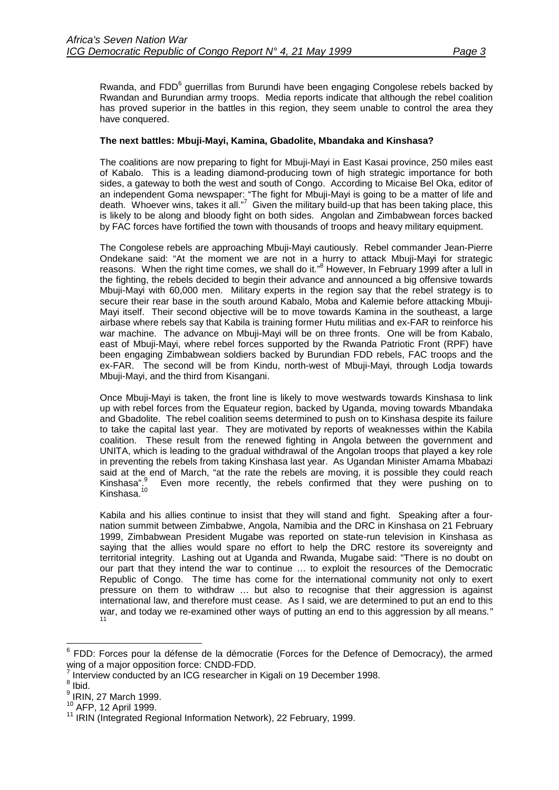Rwanda, and FDD<sup>6</sup> guerrillas from Burundi have been engaging Congolese rebels backed by Rwandan and Burundian army troops. Media reports indicate that although the rebel coalition has proved superior in the battles in this region, they seem unable to control the area they have conquered.

## **The next battles: Mbuji-Mayi, Kamina, Gbadolite, Mbandaka and Kinshasa?**

The coalitions are now preparing to fight for Mbuji-Mayi in East Kasai province, 250 miles east of Kabalo. This is a leading diamond-producing town of high strategic importance for both sides, a gateway to both the west and south of Congo. According to Micaise Bel Oka, editor of an independent Goma newspaper: "The fight for Mbuji-Mayi is going to be a matter of life and death. Whoever wins, takes it all."<sup>7</sup> Given the military build-up that has been taking place, this is likely to be along and bloody fight on both sides. Angolan and Zimbabwean forces backed by FAC forces have fortified the town with thousands of troops and heavy military equipment.

The Congolese rebels are approaching Mbuji-Mayi cautiously. Rebel commander Jean-Pierre Ondekane said: "At the moment we are not in a hurry to attack Mbuji-Mayi for strategic reasons. When the right time comes, we shall do it."<sup>8</sup> However, In February 1999 after a lull in the fighting, the rebels decided to begin their advance and announced a big offensive towards Mbuji-Mayi with 60,000 men. Military experts in the region say that the rebel strategy is to secure their rear base in the south around Kabalo, Moba and Kalemie before attacking Mbuji-Mayi itself. Their second objective will be to move towards Kamina in the southeast, a large airbase where rebels say that Kabila is training former Hutu militias and ex-FAR to reinforce his war machine. The advance on Mbuji-Mayi will be on three fronts. One will be from Kabalo, east of Mbuji-Mayi, where rebel forces supported by the Rwanda Patriotic Front (RPF) have been engaging Zimbabwean soldiers backed by Burundian FDD rebels, FAC troops and the ex-FAR. The second will be from Kindu, north-west of Mbuji-Mayi, through Lodja towards Mbuji-Mayi, and the third from Kisangani.

Once Mbuji-Mayi is taken, the front line is likely to move westwards towards Kinshasa to link up with rebel forces from the Equateur region, backed by Uganda, moving towards Mbandaka and Gbadolite. The rebel coalition seems determined to push on to Kinshasa despite its failure to take the capital last year. They are motivated by reports of weaknesses within the Kabila coalition. These result from the renewed fighting in Angola between the government and UNITA, which is leading to the gradual withdrawal of the Angolan troops that played a key role in preventing the rebels from taking Kinshasa last year. As Ugandan Minister Amama Mbabazi said at the end of March, "at the rate the rebels are moving, it is possible they could reach Kinshasa".<sup>9</sup> Even more recently, the rebels confirmed that they were pushing on to Kinshasa.<sup>10</sup>

Kabila and his allies continue to insist that they will stand and fight. Speaking after a fournation summit between Zimbabwe, Angola, Namibia and the DRC in Kinshasa on 21 February 1999, Zimbabwean President Mugabe was reported on state-run television in Kinshasa as saying that the allies would spare no effort to help the DRC restore its sovereignty and territorial integrity. Lashing out at Uganda and Rwanda, Mugabe said: "There is no doubt on our part that they intend the war to continue … to exploit the resources of the Democratic Republic of Congo. The time has come for the international community not only to exert pressure on them to withdraw … but also to recognise that their aggression is against international law, and therefore must cease. As I said, we are determined to put an end to this war, and today we re-examined other ways of putting an end to this aggression by all mean*s."* 11

 6 FDD: Forces pour la défense de la démocratie (Forces for the Defence of Democracy), the armed wing of a major opposition force: CNDD-FDD.

<sup>7</sup> Interview conducted by an ICG researcher in Kigali on 19 December 1998.

 $<sup>8</sup>$  Ibid.</sup>

 $<sup>9</sup>$  IRIN, 27 March 1999.</sup>

 $10^{10}$  AFP, 12 April 1999.<br> $11$  IRIN (Integrated Regional Information Network), 22 February, 1999.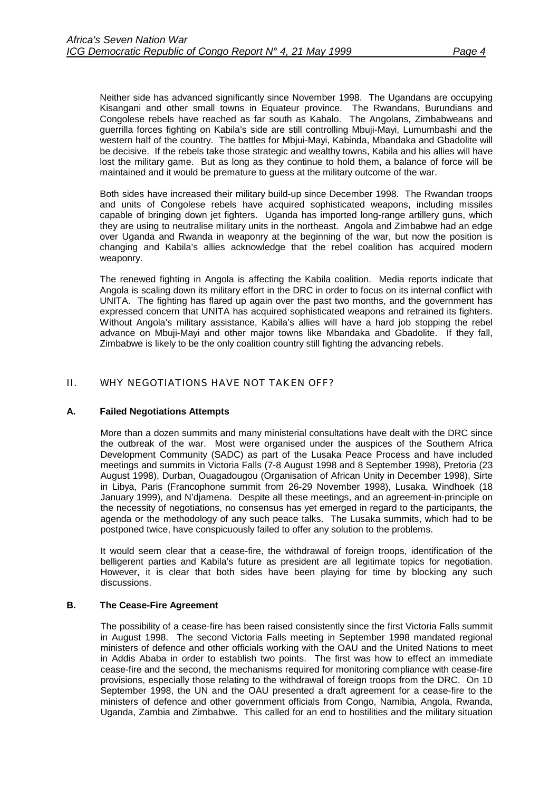<span id="page-7-0"></span>Neither side has advanced significantly since November 1998. The Ugandans are occupying Kisangani and other small towns in Equateur province. The Rwandans, Burundians and Congolese rebels have reached as far south as Kabalo. The Angolans, Zimbabweans and guerrilla forces fighting on Kabila's side are still controlling Mbuji-Mayi, Lumumbashi and the western half of the country. The battles for Mbjui-Mayi, Kabinda, Mbandaka and Gbadolite will be decisive. If the rebels take those strategic and wealthy towns, Kabila and his allies will have lost the military game. But as long as they continue to hold them, a balance of force will be maintained and it would be premature to guess at the military outcome of the war.

Both sides have increased their military build-up since December 1998. The Rwandan troops and units of Congolese rebels have acquired sophisticated weapons, including missiles capable of bringing down jet fighters. Uganda has imported long-range artillery guns, which they are using to neutralise military units in the northeast. Angola and Zimbabwe had an edge over Uganda and Rwanda in weaponry at the beginning of the war, but now the position is changing and Kabila's allies acknowledge that the rebel coalition has acquired modern weaponry.

The renewed fighting in Angola is affecting the Kabila coalition. Media reports indicate that Angola is scaling down its military effort in the DRC in order to focus on its internal conflict with UNITA. The fighting has flared up again over the past two months, and the government has expressed concern that UNITA has acquired sophisticated weapons and retrained its fighters. Without Angola's military assistance, Kabila's allies will have a hard job stopping the rebel advance on Mbuji-Mayi and other major towns like Mbandaka and Gbadolite. If they fall, Zimbabwe is likely to be the only coalition country still fighting the advancing rebels.

## II. WHY NEGOTIATIONS HAVE NOT TAKEN OFF?

## **A. Failed Negotiations Attempts**

More than a dozen summits and many ministerial consultations have dealt with the DRC since the outbreak of the war. Most were organised under the auspices of the Southern Africa Development Community (SADC) as part of the Lusaka Peace Process and have included meetings and summits in Victoria Falls (7-8 August 1998 and 8 September 1998), Pretoria (23 August 1998), Durban, Ouagadougou (Organisation of African Unity in December 1998), Sirte in Libya, Paris (Francophone summit from 26-29 November 1998), Lusaka, Windhoek (18 January 1999), and N'djamena. Despite all these meetings, and an agreement-in-principle on the necessity of negotiations, no consensus has yet emerged in regard to the participants, the agenda or the methodology of any such peace talks. The Lusaka summits, which had to be postponed twice, have conspicuously failed to offer any solution to the problems.

It would seem clear that a cease-fire, the withdrawal of foreign troops, identification of the belligerent parties and Kabila's future as president are all legitimate topics for negotiation. However, it is clear that both sides have been playing for time by blocking any such discussions.

### **B. The Cease-Fire Agreement**

The possibility of a cease-fire has been raised consistently since the first Victoria Falls summit in August 1998. The second Victoria Falls meeting in September 1998 mandated regional ministers of defence and other officials working with the OAU and the United Nations to meet in Addis Ababa in order to establish two points. The first was how to effect an immediate cease-fire and the second, the mechanisms required for monitoring compliance with cease-fire provisions, especially those relating to the withdrawal of foreign troops from the DRC. On 10 September 1998, the UN and the OAU presented a draft agreement for a cease-fire to the ministers of defence and other government officials from Congo, Namibia, Angola, Rwanda, Uganda, Zambia and Zimbabwe. This called for an end to hostilities and the military situation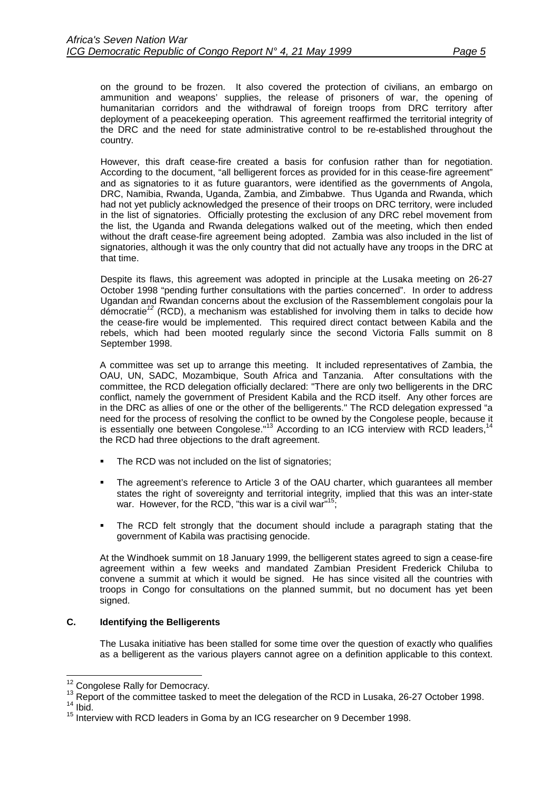<span id="page-8-0"></span>on the ground to be frozen. It also covered the protection of civilians, an embargo on ammunition and weapons' supplies, the release of prisoners of war, the opening of humanitarian corridors and the withdrawal of foreign troops from DRC territory after deployment of a peacekeeping operation. This agreement reaffirmed the territorial integrity of the DRC and the need for state administrative control to be re-established throughout the country.

However, this draft cease-fire created a basis for confusion rather than for negotiation. According to the document, "all belligerent forces as provided for in this cease-fire agreement" and as signatories to it as future guarantors, were identified as the governments of Angola, DRC, Namibia, Rwanda, Uganda, Zambia, and Zimbabwe. Thus Uganda and Rwanda, which had not yet publicly acknowledged the presence of their troops on DRC territory, were included in the list of signatories. Officially protesting the exclusion of any DRC rebel movement from the list, the Uganda and Rwanda delegations walked out of the meeting, which then ended without the draft cease-fire agreement being adopted. Zambia was also included in the list of signatories, although it was the only country that did not actually have any troops in the DRC at that time.

Despite its flaws, this agreement was adopted in principle at the Lusaka meeting on 26-27 October 1998 "pending further consultations with the parties concerned". In order to address Ugandan and Rwandan concerns about the exclusion of the Rassemblement congolais pour la démocratie*<sup>12</sup>* (RCD), a mechanism was established for involving them in talks to decide how the cease-fire would be implemented. This required direct contact between Kabila and the rebels, which had been mooted regularly since the second Victoria Falls summit on 8 September 1998.

A committee was set up to arrange this meeting. It included representatives of Zambia, the OAU, UN, SADC, Mozambique, South Africa and Tanzania. After consultations with the committee, the RCD delegation officially declared: "There are only two belligerents in the DRC conflict, namely the government of President Kabila and the RCD itself. Any other forces are in the DRC as allies of one or the other of the belligerents." The RCD delegation expressed "a need for the process of resolving the conflict to be owned by the Congolese people, because it is essentially one between Congolese."<sup>13</sup> According to an ICG interview with RCD leaders, the RCD had three objections to the draft agreement.

- The RCD was not included on the list of signatories;
- The agreement's reference to Article 3 of the OAU charter, which guarantees all member states the right of sovereignty and territorial integrity, implied that this was an inter-state war. However, for the RCD, "this war is a civil war"<sup>15</sup>
- The RCD felt strongly that the document should include a paragraph stating that the government of Kabila was practising genocide.

At the Windhoek summit on 18 January 1999, the belligerent states agreed to sign a cease-fire agreement within a few weeks and mandated Zambian President Frederick Chiluba to convene a summit at which it would be signed. He has since visited all the countries with troops in Congo for consultations on the planned summit, but no document has yet been signed.

## **C. Identifying the Belligerents**

The Lusaka initiative has been stalled for some time over the question of exactly who qualifies as a belligerent as the various players cannot agree on a definition applicable to this context.

<sup>&</sup>lt;sup>12</sup> Congolese Rally for Democracy.

<sup>13</sup> Report of the committee tasked to meet the delegation of the RCD in Lusaka, 26-27 October 1998.<br><sup>14</sup> Ibid.

<sup>&</sup>lt;sup>15</sup> Interview with RCD leaders in Goma by an ICG researcher on 9 December 1998.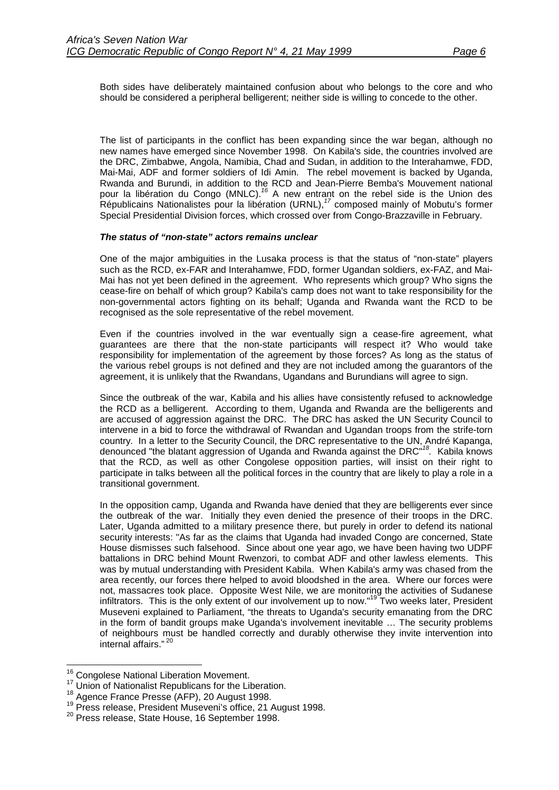Both sides have deliberately maintained confusion about who belongs to the core and who should be considered a peripheral belligerent; neither side is willing to concede to the other.

The list of participants in the conflict has been expanding since the war began, although no new names have emerged since November 1998. On Kabila's side, the countries involved are the DRC, Zimbabwe, Angola, Namibia, Chad and Sudan, in addition to the Interahamwe, FDD, Mai-Mai, ADF and former soldiers of Idi Amin. The rebel movement is backed by Uganda, Rwanda and Burundi, in addition to the RCD and Jean-Pierre Bemba's Mouvement national pour la libération du Congo (MNLC).*<sup>16</sup>* A new entrant on the rebel side is the Union des Républicains Nationalistes pour la libération (URNL),*<sup>17</sup>* composed mainly of Mobutu's former Special Presidential Division forces, which crossed over from Congo-Brazzaville in February.

### *The status of "non-state" actors remains unclear*

One of the major ambiguities in the Lusaka process is that the status of "non-state" players such as the RCD, ex-FAR and Interahamwe, FDD, former Ugandan soldiers, ex-FAZ, and Mai-Mai has not yet been defined in the agreement. Who represents which group? Who signs the cease-fire on behalf of which group? Kabila's camp does not want to take responsibility for the non-governmental actors fighting on its behalf; Uganda and Rwanda want the RCD to be recognised as the sole representative of the rebel movement.

Even if the countries involved in the war eventually sign a cease-fire agreement, what guarantees are there that the non-state participants will respect it? Who would take responsibility for implementation of the agreement by those forces? As long as the status of the various rebel groups is not defined and they are not included among the guarantors of the agreement, it is unlikely that the Rwandans, Ugandans and Burundians will agree to sign.

Since the outbreak of the war, Kabila and his allies have consistently refused to acknowledge the RCD as a belligerent. According to them, Uganda and Rwanda are the belligerents and are accused of aggression against the DRC. The DRC has asked the UN Security Council to intervene in a bid to force the withdrawal of Rwandan and Ugandan troops from the strife-torn country. In a letter to the Security Council, the DRC representative to the UN, André Kapanga, denounced "the blatant aggression of Uganda and Rwanda against the DRC"*18.* Kabila knows that the RCD, as well as other Congolese opposition parties, will insist on their right to participate in talks between all the political forces in the country that are likely to play a role in a transitional government.

In the opposition camp, Uganda and Rwanda have denied that they are belligerents ever since the outbreak of the war. Initially they even denied the presence of their troops in the DRC. Later, Uganda admitted to a military presence there, but purely in order to defend its national security interests: "As far as the claims that Uganda had invaded Congo are concerned, State House dismisses such falsehood. Since about one year ago, we have been having two UDPF battalions in DRC behind Mount Rwenzori, to combat ADF and other lawless elements. This was by mutual understanding with President Kabila. When Kabila's army was chased from the area recently, our forces there helped to avoid bloodshed in the area. Where our forces were not, massacres took place. Opposite West Nile, we are monitoring the activities of Sudanese infiltrators. This is the only extent of our involvement up to now."<sup>19</sup> Two weeks later, President Museveni explained to Parliament, "the threats to Uganda's security emanating from the DRC in the form of bandit groups make Uganda's involvement inevitable … The security problems of neighbours must be handled correctly and durably otherwise they invite intervention into internal affairs."<sup>2</sup>

<sup>&</sup>lt;sup>16</sup> Congolese National Liberation Movement.

<sup>&</sup>lt;sup>17</sup> Union of Nationalist Republicans for the Liberation.<br><sup>18</sup> Agence France Presse (AFP), 20 August 1998.<br><sup>19</sup> Press release, President Museveni's office, 21 August 1998.<br><sup>20</sup> Press release, State House, 16 September 199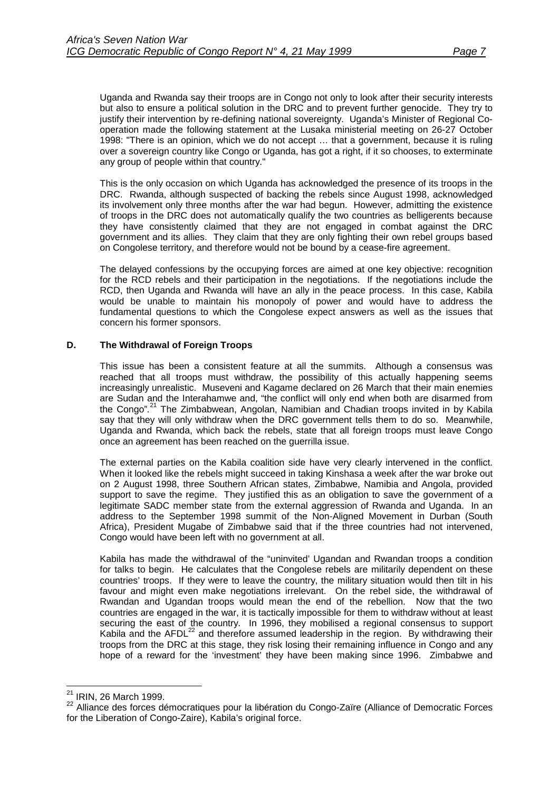<span id="page-10-0"></span>Uganda and Rwanda say their troops are in Congo not only to look after their security interests but also to ensure a political solution in the DRC and to prevent further genocide. They try to justify their intervention by re-defining national sovereignty. Uganda's Minister of Regional Cooperation made the following statement at the Lusaka ministerial meeting on 26-27 October 1998: "There is an opinion, which we do not accept … that a government, because it is ruling over a sovereign country like Congo or Uganda, has got a right, if it so chooses, to exterminate any group of people within that country."

This is the only occasion on which Uganda has acknowledged the presence of its troops in the DRC. Rwanda, although suspected of backing the rebels since August 1998, acknowledged its involvement only three months after the war had begun. However, admitting the existence of troops in the DRC does not automatically qualify the two countries as belligerents because they have consistently claimed that they are not engaged in combat against the DRC government and its allies. They claim that they are only fighting their own rebel groups based on Congolese territory, and therefore would not be bound by a cease-fire agreement.

The delayed confessions by the occupying forces are aimed at one key objective: recognition for the RCD rebels and their participation in the negotiations. If the negotiations include the RCD, then Uganda and Rwanda will have an ally in the peace process. In this case, Kabila would be unable to maintain his monopoly of power and would have to address the fundamental questions to which the Congolese expect answers as well as the issues that concern his former sponsors.

## **D. The Withdrawal of Foreign Troops**

This issue has been a consistent feature at all the summits. Although a consensus was reached that all troops must withdraw, the possibility of this actually happening seems increasingly unrealistic. Museveni and Kagame declared on 26 March that their main enemies are Sudan and the Interahamwe and, "the conflict will only end when both are disarmed from the Congo"*.* 21 The Zimbabwean, Angolan, Namibian and Chadian troops invited in by Kabila say that they will only withdraw when the DRC government tells them to do so. Meanwhile, Uganda and Rwanda, which back the rebels, state that all foreign troops must leave Congo once an agreement has been reached on the guerrilla issue.

The external parties on the Kabila coalition side have very clearly intervened in the conflict. When it looked like the rebels might succeed in taking Kinshasa a week after the war broke out on 2 August 1998, three Southern African states, Zimbabwe, Namibia and Angola, provided support to save the regime. They justified this as an obligation to save the government of a legitimate SADC member state from the external aggression of Rwanda and Uganda. In an address to the September 1998 summit of the Non-Aligned Movement in Durban (South Africa), President Mugabe of Zimbabwe said that if the three countries had not intervened, Congo would have been left with no government at all.

Kabila has made the withdrawal of the "uninvited' Ugandan and Rwandan troops a condition for talks to begin. He calculates that the Congolese rebels are militarily dependent on these countries' troops. If they were to leave the country, the military situation would then tilt in his favour and might even make negotiations irrelevant. On the rebel side, the withdrawal of Rwandan and Ugandan troops would mean the end of the rebellion. Now that the two countries are engaged in the war, it is tactically impossible for them to withdraw without at least securing the east of the country. In 1996, they mobilised a regional consensus to support Kabila and the AFDL $^{22}$  and therefore assumed leadership in the region. By withdrawing their troops from the DRC at this stage, they risk losing their remaining influence in Congo and any hope of a reward for the 'investment' they have been making since 1996. Zimbabwe and

 $\overline{a}$ 

 $^{21}$  IRIN, 26 March 1999.

<sup>22</sup> Alliance des forces démocratiques pour la libération du Congo-Zaïre (Alliance of Democratic Forces for the Liberation of Congo-Zaire), Kabila's original force.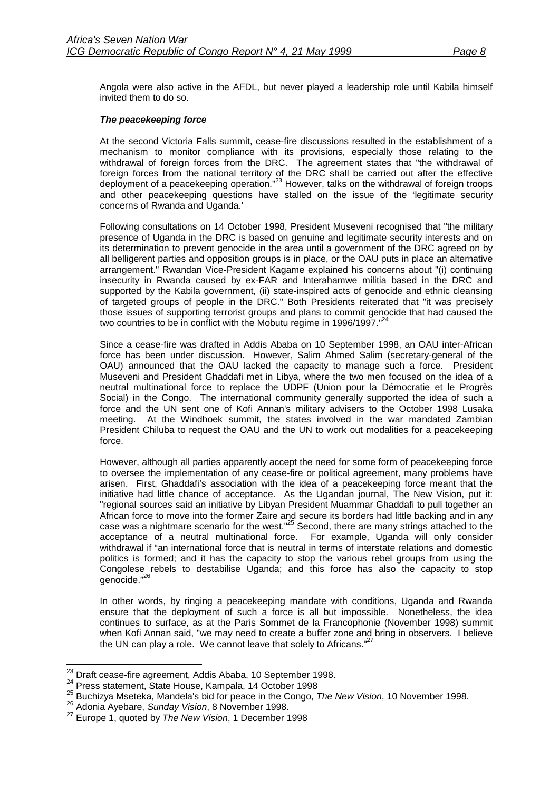Angola were also active in the AFDL, but never played a leadership role until Kabila himself invited them to do so.

### *The peacekeeping force*

At the second Victoria Falls summit, cease-fire discussions resulted in the establishment of a mechanism to monitor compliance with its provisions, especially those relating to the withdrawal of foreign forces from the DRC. The agreement states that "the withdrawal of foreign forces from the national territory of the DRC shall be carried out after the effective deployment of a peacekeeping operation."<sup>23</sup> However, talks on the withdrawal of foreign troops and other peacekeeping questions have stalled on the issue of the 'legitimate security concerns of Rwanda and Uganda.'

Following consultations on 14 October 1998, President Museveni recognised that "the military presence of Uganda in the DRC is based on genuine and legitimate security interests and on its determination to prevent genocide in the area until a government of the DRC agreed on by all belligerent parties and opposition groups is in place, or the OAU puts in place an alternative arrangement." Rwandan Vice-President Kagame explained his concerns about "(i) continuing insecurity in Rwanda caused by ex-FAR and Interahamwe militia based in the DRC and supported by the Kabila government, (ii) state-inspired acts of genocide and ethnic cleansing of targeted groups of people in the DRC." Both Presidents reiterated that "it was precisely those issues of supporting terrorist groups and plans to commit genocide that had caused the two countries to be in conflict with the Mobutu regime in 1996/1997."<sup>24</sup>

Since a cease-fire was drafted in Addis Ababa on 10 September 1998, an OAU inter-African force has been under discussion. However, Salim Ahmed Salim (secretary-general of the OAU) announced that the OAU lacked the capacity to manage such a force. President Museveni and President Ghaddafi met in Libya, where the two men focused on the idea of a neutral multinational force to replace the UDPF (Union pour la Démocratie et le Progrès Social) in the Congo. The international community generally supported the idea of such a force and the UN sent one of Kofi Annan's military advisers to the October 1998 Lusaka meeting. At the Windhoek summit, the states involved in the war mandated Zambian President Chiluba to request the OAU and the UN to work out modalities for a peacekeeping force.

However, although all parties apparently accept the need for some form of peacekeeping force to oversee the implementation of any cease-fire or political agreement, many problems have arisen. First, Ghaddafi's association with the idea of a peacekeeping force meant that the initiative had little chance of acceptance. As the Ugandan journal, The New Vision, put it: "regional sources said an initiative by Libyan President Muammar Ghaddafi to pull together an African force to move into the former Zaire and secure its borders had little backing and in any case was a nightmare scenario for the west."<sup>25</sup> Second, there are many strings attached to the acceptance of a neutral multinational force. For example, Uganda will only consider withdrawal if "an international force that is neutral in terms of interstate relations and domestic politics is formed; and it has the capacity to stop the various rebel groups from using the Congolese rebels to destabilise Uganda; and this force has also the capacity to stop genocide."<sup>26</sup>

In other words, by ringing a peacekeeping mandate with conditions, Uganda and Rwanda ensure that the deployment of such a force is all but impossible. Nonetheless, the idea continues to surface, as at the Paris Sommet de la Francophonie (November 1998) summit when Kofi Annan said, "we may need to create a buffer zone and bring in observers. I believe the UN can play a role. We cannot leave that solely to Africans."<sup>2</sup>

<sup>&</sup>lt;sup>23</sup> Draft cease-fire agreement, Addis Ababa, 10 September 1998.

<sup>24</sup> Draft cease-fire agreement, State House, Kampala, 14 October 1998<br><sup>25</sup> Press statement, State House, Kampala, 14 October 1998<br><sup>25</sup> Buchizya Mseteka, Mandela's bid for peace in the Congo, *The New Vision*, 10 November 19

<sup>26</sup> Adonia Ayebare, *Sunday Vision*, 8 November 1998.

<sup>27</sup> Europe 1, quoted by *The New Vision*, 1 December 1998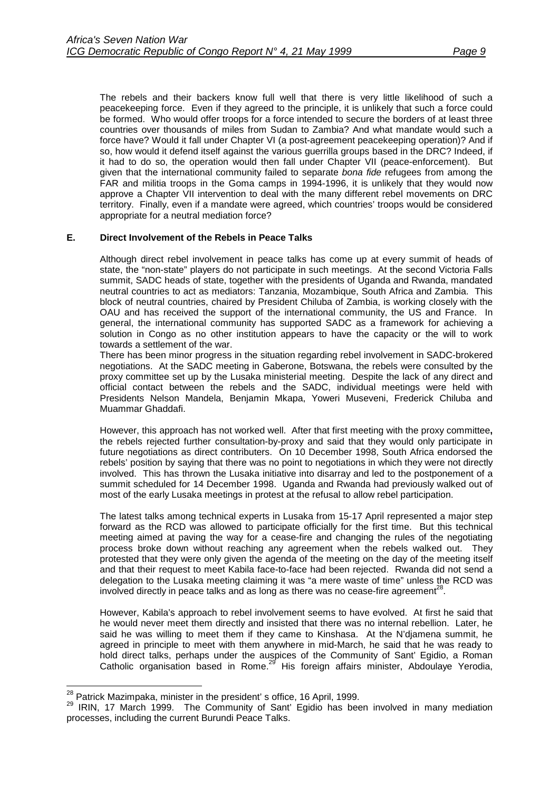<span id="page-12-0"></span>The rebels and their backers know full well that there is very little likelihood of such a peacekeeping force. Even if they agreed to the principle, it is unlikely that such a force could be formed. Who would offer troops for a force intended to secure the borders of at least three countries over thousands of miles from Sudan to Zambia? And what mandate would such a force have? Would it fall under Chapter VI (a post-agreement peacekeeping operation)? And if so, how would it defend itself against the various guerrilla groups based in the DRC? Indeed, if it had to do so, the operation would then fall under Chapter VII (peace-enforcement). But given that the international community failed to separate *bona fide* refugees from among the FAR and militia troops in the Goma camps in 1994-1996, it is unlikely that they would now approve a Chapter VII intervention to deal with the many different rebel movements on DRC territory. Finally, even if a mandate were agreed, which countries' troops would be considered appropriate for a neutral mediation force?

### **E. Direct Involvement of the Rebels in Peace Talks**

Although direct rebel involvement in peace talks has come up at every summit of heads of state, the "non-state" players do not participate in such meetings. At the second Victoria Falls summit, SADC heads of state, together with the presidents of Uganda and Rwanda, mandated neutral countries to act as mediators: Tanzania, Mozambique, South Africa and Zambia. This block of neutral countries, chaired by President Chiluba of Zambia, is working closely with the OAU and has received the support of the international community, the US and France. In general, the international community has supported SADC as a framework for achieving a solution in Congo as no other institution appears to have the capacity or the will to work towards a settlement of the war.

There has been minor progress in the situation regarding rebel involvement in SADC-brokered negotiations. At the SADC meeting in Gaberone, Botswana, the rebels were consulted by the proxy committee set up by the Lusaka ministerial meeting. Despite the lack of any direct and official contact between the rebels and the SADC, individual meetings were held with Presidents Nelson Mandela, Benjamin Mkapa, Yoweri Museveni, Frederick Chiluba and Muammar Ghaddafi.

However, this approach has not worked well. After that first meeting with the proxy committee**,** the rebels rejected further consultation-by-proxy and said that they would only participate in future negotiations as direct contributers. On 10 December 1998, South Africa endorsed the rebels' position by saying that there was no point to negotiations in which they were not directly involved. This has thrown the Lusaka initiative into disarray and led to the postponement of a summit scheduled for 14 December 1998. Uganda and Rwanda had previously walked out of most of the early Lusaka meetings in protest at the refusal to allow rebel participation.

The latest talks among technical experts in Lusaka from 15-17 April represented a major step forward as the RCD was allowed to participate officially for the first time. But this technical meeting aimed at paving the way for a cease-fire and changing the rules of the negotiating process broke down without reaching any agreement when the rebels walked out. They protested that they were only given the agenda of the meeting on the day of the meeting itself and that their request to meet Kabila face-to-face had been rejected. Rwanda did not send a delegation to the Lusaka meeting claiming it was "a mere waste of time" unless the RCD was involved directly in peace talks and as long as there was no cease-fire agreement<sup>28</sup>.

However, Kabila's approach to rebel involvement seems to have evolved. At first he said that he would never meet them directly and insisted that there was no internal rebellion. Later, he said he was willing to meet them if they came to Kinshasa. At the N'djamena summit, he agreed in principle to meet with them anywhere in mid-March, he said that he was ready to hold direct talks, perhaps under the auspices of the Community of Sant' Egidio, a Roman Catholic organisation based in Rome.<sup>29</sup> His foreign affairs minister, Abdoulaye Yerodia,

<sup>&</sup>lt;sup>28</sup> Patrick Mazimpaka, minister in the president' s office, 16 April, 1999.

<sup>&</sup>lt;sup>29</sup> IRIN, 17 March 1999. The Community of Sant' Egidio has been involved in many mediation processes, including the current Burundi Peace Talks.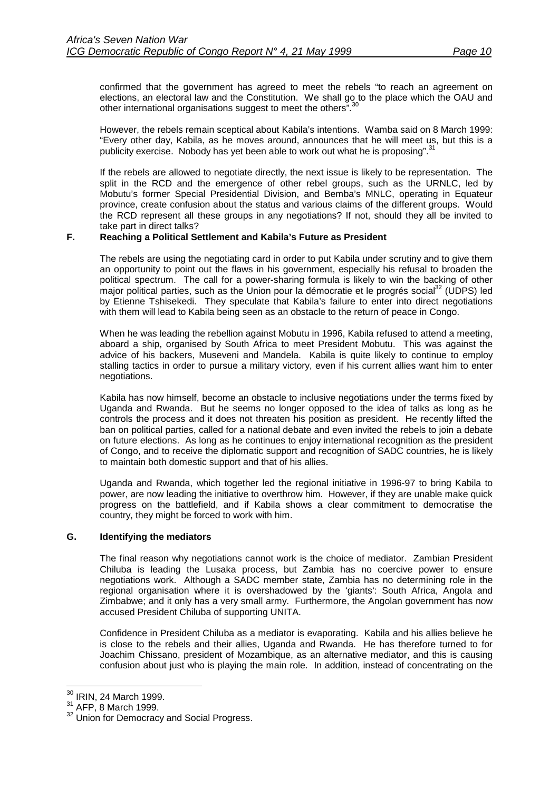<span id="page-13-0"></span>confirmed that the government has agreed to meet the rebels "to reach an agreement on elections, an electoral law and the Constitution. We shall go to the place which the OAU and other international organisations suggest to meet the others"*.* 30

However, the rebels remain sceptical about Kabila's intentions. Wamba said on 8 March 1999: "Every other day, Kabila, as he moves around, announces that he will meet us, but this is a publicity exercise. Nobody has yet been able to work out what he is proposing".<sup>31</sup>

If the rebels are allowed to negotiate directly, the next issue is likely to be representation. The split in the RCD and the emergence of other rebel groups, such as the URNLC, led by Mobutu's former Special Presidential Division, and Bemba's MNLC, operating in Equateur province, create confusion about the status and various claims of the different groups. Would the RCD represent all these groups in any negotiations? If not, should they all be invited to take part in direct talks?

## **F. Reaching a Political Settlement and Kabila's Future as President**

The rebels are using the negotiating card in order to put Kabila under scrutiny and to give them an opportunity to point out the flaws in his government, especially his refusal to broaden the political spectrum. The call for a power-sharing formula is likely to win the backing of other major political parties, such as the Union pour la démocratie et le progrés social<sup>32</sup> (UDPS) led by Etienne Tshisekedi. They speculate that Kabila's failure to enter into direct negotiations with them will lead to Kabila being seen as an obstacle to the return of peace in Congo.

When he was leading the rebellion against Mobutu in 1996, Kabila refused to attend a meeting, aboard a ship, organised by South Africa to meet President Mobutu. This was against the advice of his backers, Museveni and Mandela. Kabila is quite likely to continue to employ stalling tactics in order to pursue a military victory, even if his current allies want him to enter negotiations.

Kabila has now himself, become an obstacle to inclusive negotiations under the terms fixed by Uganda and Rwanda. But he seems no longer opposed to the idea of talks as long as he controls the process and it does not threaten his position as president. He recently lifted the ban on political parties, called for a national debate and even invited the rebels to join a debate on future elections. As long as he continues to enjoy international recognition as the president of Congo, and to receive the diplomatic support and recognition of SADC countries, he is likely to maintain both domestic support and that of his allies.

Uganda and Rwanda, which together led the regional initiative in 1996-97 to bring Kabila to power, are now leading the initiative to overthrow him. However, if they are unable make quick progress on the battlefield, and if Kabila shows a clear commitment to democratise the country, they might be forced to work with him.

### **G. Identifying the mediators**

The final reason why negotiations cannot work is the choice of mediator. Zambian President Chiluba is leading the Lusaka process, but Zambia has no coercive power to ensure negotiations work. Although a SADC member state, Zambia has no determining role in the regional organisation where it is overshadowed by the 'giants': South Africa, Angola and Zimbabwe; and it only has a very small army. Furthermore, the Angolan government has now accused President Chiluba of supporting UNITA.

Confidence in President Chiluba as a mediator is evaporating. Kabila and his allies believe he is close to the rebels and their allies, Uganda and Rwanda. He has therefore turned to for Joachim Chissano, president of Mozambique, as an alternative mediator, and this is causing confusion about just who is playing the main role. In addition, instead of concentrating on the

 $\overline{a}$ 

 $30$  IRIN, 24 March 1999.

 $31$  AFP, 8 March 1999.

<sup>&</sup>lt;sup>32</sup> Union for Democracy and Social Progress.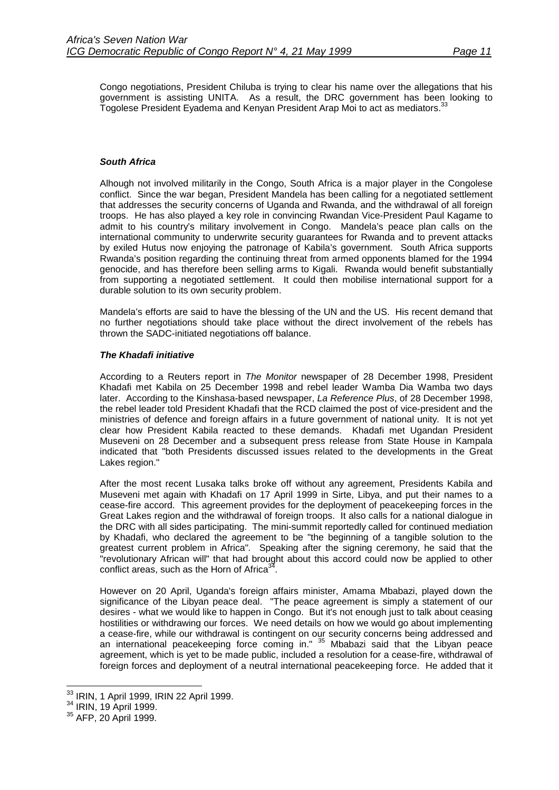Congo negotiations, President Chiluba is trying to clear his name over the allegations that his government is assisting UNITA. As a result, the DRC government has been looking to Togolese President Eyadema and Kenyan President Arap Moi to act as mediators.<sup>33</sup>

## *South Africa*

Alhough not involved militarily in the Congo, South Africa is a major player in the Congolese conflict. Since the war began, President Mandela has been calling for a negotiated settlement that addresses the security concerns of Uganda and Rwanda, and the withdrawal of all foreign troops. He has also played a key role in convincing Rwandan Vice-President Paul Kagame to admit to his country's military involvement in Congo. Mandela's peace plan calls on the international community to underwrite security guarantees for Rwanda and to prevent attacks by exiled Hutus now enjoying the patronage of Kabila's government. South Africa supports Rwanda's position regarding the continuing threat from armed opponents blamed for the 1994 genocide, and has therefore been selling arms to Kigali. Rwanda would benefit substantially from supporting a negotiated settlement. It could then mobilise international support for a durable solution to its own security problem.

Mandela's efforts are said to have the blessing of the UN and the US. His recent demand that no further negotiations should take place without the direct involvement of the rebels has thrown the SADC-initiated negotiations off balance.

### *The Khadafi initiative*

According to a Reuters report in *The Monitor* newspaper of 28 December 1998, President Khadafi met Kabila on 25 December 1998 and rebel leader Wamba Dia Wamba two days later. According to the Kinshasa-based newspaper, *La Reference Plus*, of 28 December 1998, the rebel leader told President Khadafi that the RCD claimed the post of vice-president and the ministries of defence and foreign affairs in a future government of national unity. It is not yet clear how President Kabila reacted to these demands. Khadafi met Ugandan President Museveni on 28 December and a subsequent press release from State House in Kampala indicated that "both Presidents discussed issues related to the developments in the Great Lakes region."

After the most recent Lusaka talks broke off without any agreement, Presidents Kabila and Museveni met again with Khadafi on 17 April 1999 in Sirte, Libya, and put their names to a cease-fire accord. This agreement provides for the deployment of peacekeeping forces in the Great Lakes region and the withdrawal of foreign troops. It also calls for a national dialogue in the DRC with all sides participating. The mini-summit reportedly called for continued mediation by Khadafi, who declared the agreement to be "the beginning of a tangible solution to the greatest current problem in Africa"*.* Speaking after the signing ceremony, he said that the "revolutionary African will" that had brought about this accord could now be applied to other conflict areas, such as the Horn of Africa $3<sup>34</sup>$ .

However on 20 April, Uganda's foreign affairs minister, Amama Mbabazi, played down the significance of the Libyan peace deal. "The peace agreement is simply a statement of our desires - what we would like to happen in Congo. But it's not enough just to talk about ceasing hostilities or withdrawing our forces. We need details on how we would go about implementing a cease-fire, while our withdrawal is contingent on our security concerns being addressed and an international peacekeeping force coming in." 35 Mbabazi said that the Libyan peace agreement, which is yet to be made public, included a resolution for a cease-fire, withdrawal of foreign forces and deployment of a neutral international peacekeeping force. He added that it

 $\overline{a}$ 

 $\frac{33}{18}$  IRIN, 1 April 1999, IRIN 22 April 1999.<br> $\frac{34}{18}$  IRIN, 19 April 1999.<br> $\frac{35}{18}$  AFP, 20 April 1999.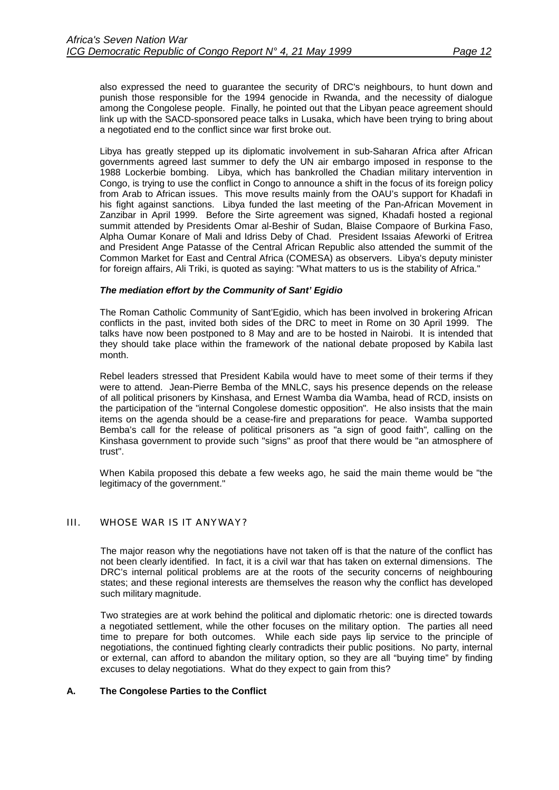<span id="page-15-0"></span>also expressed the need to guarantee the security of DRC's neighbours, to hunt down and punish those responsible for the 1994 genocide in Rwanda, and the necessity of dialogue among the Congolese people. Finally, he pointed out that the Libyan peace agreement should link up with the SACD-sponsored peace talks in Lusaka, which have been trying to bring about a negotiated end to the conflict since war first broke out.

Libya has greatly stepped up its diplomatic involvement in sub-Saharan Africa after African governments agreed last summer to defy the UN air embargo imposed in response to the 1988 Lockerbie bombing. Libya, which has bankrolled the Chadian military intervention in Congo, is trying to use the conflict in Congo to announce a shift in the focus of its foreign policy from Arab to African issues. This move results mainly from the OAU's support for Khadafi in his fight against sanctions. Libya funded the last meeting of the Pan-African Movement in Zanzibar in April 1999. Before the Sirte agreement was signed, Khadafi hosted a regional summit attended by Presidents Omar al-Beshir of Sudan, Blaise Compaore of Burkina Faso, Alpha Oumar Konare of Mali and Idriss Deby of Chad. President Issaias Afeworki of Eritrea and President Ange Patasse of the Central African Republic also attended the summit of the Common Market for East and Central Africa (COMESA) as observers. Libya's deputy minister for foreign affairs, Ali Triki, is quoted as saying: "What matters to us is the stability of Africa."

### *The mediation effort by the Community of Sant' Egidio*

The Roman Catholic Community of Sant'Egidio, which has been involved in brokering African conflicts in the past, invited both sides of the DRC to meet in Rome on 30 April 1999. The talks have now been postponed to 8 May and are to be hosted in Nairobi. It is intended that they should take place within the framework of the national debate proposed by Kabila last month.

Rebel leaders stressed that President Kabila would have to meet some of their terms if they were to attend. Jean-Pierre Bemba of the MNLC, says his presence depends on the release of all political prisoners by Kinshasa, and Ernest Wamba dia Wamba, head of RCD, insists on the participation of the "internal Congolese domestic opposition"*.* He also insists that the main items on the agenda should be a cease-fire and preparations for peace. Wamba supported Bemba's call for the release of political prisoners as "a sign of good faith"*,* calling on the Kinshasa government to provide such "signs" as proof that there would be "an atmosphere of trust".

When Kabila proposed this debate a few weeks ago, he said the main theme would be "the legitimacy of the government."

## III. WHOSE WAR IS IT ANYWAY?

The major reason why the negotiations have not taken off is that the nature of the conflict has not been clearly identified. In fact, it is a civil war that has taken on external dimensions. The DRC's internal political problems are at the roots of the security concerns of neighbouring states; and these regional interests are themselves the reason why the conflict has developed such military magnitude.

Two strategies are at work behind the political and diplomatic rhetoric: one is directed towards a negotiated settlement, while the other focuses on the military option. The parties all need time to prepare for both outcomes. While each side pays lip service to the principle of negotiations, the continued fighting clearly contradicts their public positions. No party, internal or external, can afford to abandon the military option, so they are all "buying time" by finding excuses to delay negotiations. What do they expect to gain from this?

### **A. The Congolese Parties to the Conflict**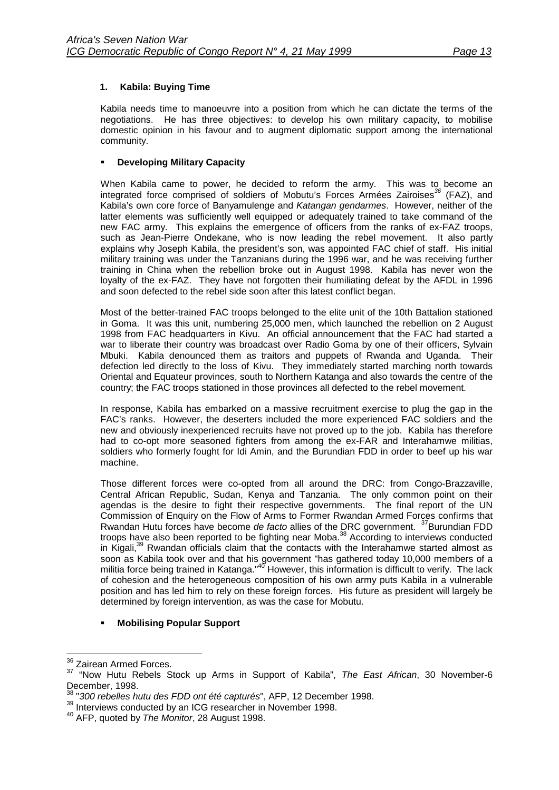## <span id="page-16-0"></span>**1. Kabila: Buying Time**

Kabila needs time to manoeuvre into a position from which he can dictate the terms of the negotiations. He has three objectives: to develop his own military capacity, to mobilise domestic opinion in his favour and to augment diplomatic support among the international community.

## !" **Developing Military Capacity**

When Kabila came to power, he decided to reform the army. This was to become an integrated force comprised of soldiers of Mobutu's Forces Armées Zairoises*<sup>36</sup>* (FAZ), and Kabila's own core force of Banyamulenge and *Katangan gendarmes*. However, neither of the latter elements was sufficiently well equipped or adequately trained to take command of the new FAC army. This explains the emergence of officers from the ranks of ex-FAZ troops, such as Jean-Pierre Ondekane, who is now leading the rebel movement. It also partly explains why Joseph Kabila, the president's son, was appointed FAC chief of staff. His initial military training was under the Tanzanians during the 1996 war, and he was receiving further training in China when the rebellion broke out in August 1998. Kabila has never won the loyalty of the ex-FAZ. They have not forgotten their humiliating defeat by the AFDL in 1996 and soon defected to the rebel side soon after this latest conflict began.

Most of the better-trained FAC troops belonged to the elite unit of the 10th Battalion stationed in Goma. It was this unit, numbering 25,000 men, which launched the rebellion on 2 August 1998 from FAC headquarters in Kivu. An official announcement that the FAC had started a war to liberate their country was broadcast over Radio Goma by one of their officers, Sylvain Mbuki. Kabila denounced them as traitors and puppets of Rwanda and Uganda. Their defection led directly to the loss of Kivu. They immediately started marching north towards Oriental and Equateur provinces, south to Northern Katanga and also towards the centre of the country; the FAC troops stationed in those provinces all defected to the rebel movement.

In response, Kabila has embarked on a massive recruitment exercise to plug the gap in the FAC's ranks. However, the deserters included the more experienced FAC soldiers and the new and obviously inexperienced recruits have not proved up to the job. Kabila has therefore had to co-opt more seasoned fighters from among the ex-FAR and Interahamwe militias, soldiers who formerly fought for Idi Amin, and the Burundian FDD in order to beef up his war machine.

Those different forces were co-opted from all around the DRC: from Congo-Brazzaville, Central African Republic, Sudan, Kenya and Tanzania. The only common point on their agendas is the desire to fight their respective governments. The final report of the UN Commission of Enquiry on the Flow of Arms to Former Rwandan Armed Forces confirms that Rwandan Hutu forces have become *de facto* allies of the DRC government. <sup>37</sup>Burundian FDD troops have also been reported to be fighting near Moba.38 According to interviews conducted in Kigali,<sup>39</sup> Rwandan officials claim that the contacts with the Interahamwe started almost as soon as Kabila took over and that his government "has gathered today 10,000 members of a militia force being trained in Katanga."<sup>40</sup> However, this information is difficult to verify. The lack of cohesion and the heterogeneous composition of his own army puts Kabila in a vulnerable position and has led him to rely on these foreign forces. His future as president will largely be determined by foreign intervention, as was the case for Mobutu.

## !" **Mobilising Popular Support**

<sup>&</sup>lt;sup>36</sup> Zairean Armed Forces.

<sup>37 &</sup>quot;Now Hutu Rebels Stock up Arms in Support of Kabila", *The East African*, 30 November-6 December, 1998.

<sup>38 &</sup>quot;*300 rebelles hutu des FDD ont été capturés*", AFP, 12 December 1998.

<sup>&</sup>lt;sup>39</sup> Interviews conducted by an ICG researcher in November 1998.<br><sup>40</sup> AFP, quoted by *The Monitor*, 28 August 1998.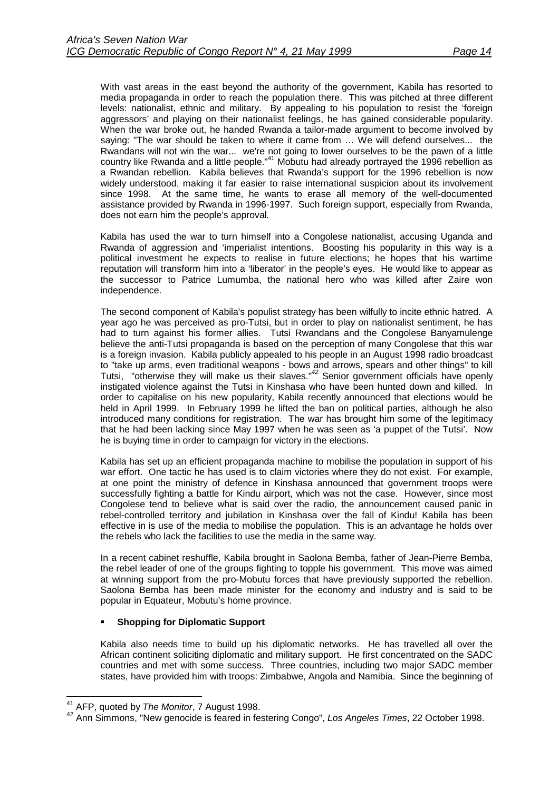With vast areas in the east beyond the authority of the government, Kabila has resorted to media propaganda in order to reach the population there. This was pitched at three different levels: nationalist, ethnic and military. By appealing to his population to resist the 'foreign aggressors' and playing on their nationalist feelings, he has gained considerable popularity. When the war broke out, he handed Rwanda a tailor-made argument to become involved by saying: "The war should be taken to where it came from … We will defend ourselves... the Rwandans will not win the war... we're not going to lower ourselves to be the pawn of a little country like Rwanda and a little people."<sup>41</sup> Mobutu had already portrayed the 1996 rebellion as a Rwandan rebellion. Kabila believes that Rwanda's support for the 1996 rebellion is now widely understood, making it far easier to raise international suspicion about its involvement since 1998. At the same time, he wants to erase all memory of the well-documented assistance provided by Rwanda in 1996-1997. Such foreign support, especially from Rwanda, does not earn him the people's approval*.*

Kabila has used the war to turn himself into a Congolese nationalist, accusing Uganda and Rwanda of aggression and 'imperialist intentions. Boosting his popularity in this way is a political investment he expects to realise in future elections; he hopes that his wartime reputation will transform him into a 'liberator' in the people's eyes. He would like to appear as the successor to Patrice Lumumba, the national hero who was killed after Zaire won independence.

The second component of Kabila's populist strategy has been wilfully to incite ethnic hatred. A year ago he was perceived as pro-Tutsi, but in order to play on nationalist sentiment, he has had to turn against his former allies. Tutsi Rwandans and the Congolese Banyamulenge believe the anti-Tutsi propaganda is based on the perception of many Congolese that this war is a foreign invasion. Kabila publicly appealed to his people in an August 1998 radio broadcast to "take up arms, even traditional weapons - bows and arrows, spears and other things" to kill Tutsi, "otherwise they will make us their slaves."*<sup>42</sup>* Senior government officials have openly instigated violence against the Tutsi in Kinshasa who have been hunted down and killed. In order to capitalise on his new popularity, Kabila recently announced that elections would be held in April 1999. In February 1999 he lifted the ban on political parties, although he also introduced many conditions for registration. The war has brought him some of the legitimacy that he had been lacking since May 1997 when he was seen as 'a puppet of the Tutsi'. Now he is buying time in order to campaign for victory in the elections.

Kabila has set up an efficient propaganda machine to mobilise the population in support of his war effort. One tactic he has used is to claim victories where they do not exist. For example, at one point the ministry of defence in Kinshasa announced that government troops were successfully fighting a battle for Kindu airport, which was not the case. However, since most Congolese tend to believe what is said over the radio, the announcement caused panic in rebel-controlled territory and jubilation in Kinshasa over the fall of Kindu! Kabila has been effective in is use of the media to mobilise the population. This is an advantage he holds over the rebels who lack the facilities to use the media in the same way.

In a recent cabinet reshuffle, Kabila brought in Saolona Bemba, father of Jean-Pierre Bemba, the rebel leader of one of the groups fighting to topple his government. This move was aimed at winning support from the pro-Mobutu forces that have previously supported the rebellion. Saolona Bemba has been made minister for the economy and industry and is said to be popular in Equateur, Mobutu's home province.

## **Shopping for Diplomatic Support**

Kabila also needs time to build up his diplomatic networks. He has travelled all over the African continent soliciting diplomatic and military support. He first concentrated on the SADC countries and met with some success. Three countries, including two major SADC member states, have provided him with troops: Zimbabwe, Angola and Namibia. Since the beginning of

<sup>&</sup>lt;sup>41</sup> AFP, quoted by The Monitor, 7 August 1998.

<sup>41</sup> AFP, quoted by *The Monitor*, 7 August 1998. 42 Ann Simmons, "New genocide is feared in festering Congo", *Los Angeles Times*, 22 October 1998.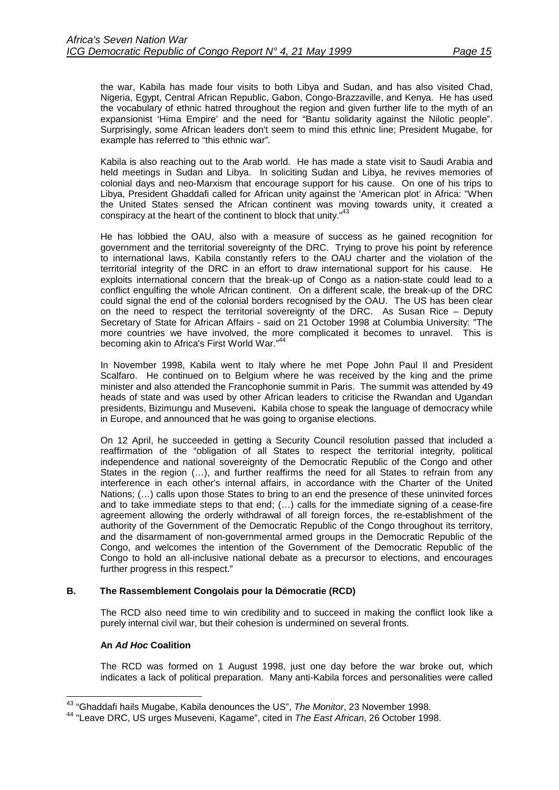<span id="page-18-0"></span>the war, Kabila has made four visits to both Libya and Sudan, and has also visited Chad, Nigeria, Egypt, Central African Republic, Gabon, Congo-Brazzaville, and Kenya. He has used the vocabulary of ethnic hatred throughout the region and given further life to the myth of an expansionist 'Hima Empire' and the need for "Bantu solidarity against the Nilotic people". Surprisingly, some African leaders don't seem to mind this ethnic line; President Mugabe, for example has referred to "this ethnic war"*.*

Kabila is also reaching out to the Arab world. He has made a state visit to Saudi Arabia and held meetings in Sudan and Libya. In soliciting Sudan and Libya, he revives memories of colonial days and neo-Marxism that encourage support for his cause. On one of his trips to Libya, President Ghaddafi called for African unity against the 'American plot' in Africa: "When the United States sensed the African continent was moving towards unity, it created a conspiracy at the heart of the continent to block that unity."<sup>43</sup>

He has lobbied the OAU, also with a measure of success as he gained recognition for government and the territorial sovereignty of the DRC. Trying to prove his point by reference to international laws, Kabila constantly refers to the OAU charter and the violation of the territorial integrity of the DRC in an effort to draw international support for his cause. He exploits international concern that the break-up of Congo as a nation-state could lead to a conflict engulfing the whole African continent. On a different scale, the break-up of the DRC could signal the end of the colonial borders recognised by the OAU. The US has been clear on the need to respect the territorial sovereignty of the DRC. As Susan Rice – Deputy Secretary of State for African Affairs - said on 21 October 1998 at Columbia University: "The more countries we have involved, the more complicated it becomes to unravel. This is becoming akin to Africa's First World War."<sup>4</sup>

In November 1998, Kabila went to Italy where he met Pope John Paul II and President Scalfaro. He continued on to Belgium where he was received by the king and the prime minister and also attended the Francophonie summit in Paris. The summit was attended by 49 heads of state and was used by other African leaders to criticise the Rwandan and Ugandan presidents, Bizimungu and Museveni**.** Kabila chose to speak the language of democracy while in Europe, and announced that he was going to organise elections.

On 12 April, he succeeded in getting a Security Council resolution passed that included a reaffirmation of the "obligation of all States to respect the territorial integrity, political independence and national sovereignty of the Democratic Republic of the Congo and other States in the region (…), and further reaffirms the need for all States to refrain from any interference in each other's internal affairs, in accordance with the Charter of the United Nations; (…) calls upon those States to bring to an end the presence of these uninvited forces and to take immediate steps to that end; (…) calls for the immediate signing of a cease-fire agreement allowing the orderly withdrawal of all foreign forces, the re-establishment of the authority of the Government of the Democratic Republic of the Congo throughout its territory, and the disarmament of non-governmental armed groups in the Democratic Republic of the Congo, and welcomes the intention of the Government of the Democratic Republic of the Congo to hold an all-inclusive national debate as a precursor to elections, and encourages further progress in this respect."

## **B. The Rassemblement Congolais pour la Démocratie (RCD)**

The RCD also need time to win credibility and to succeed in making the conflict look like a purely internal civil war, but their cohesion is undermined on several fronts.

### **An** *Ad Hoc* **Coalition**

The RCD was formed on 1 August 1998, just one day before the war broke out, which indicates a lack of political preparation. Many anti-Kabila forces and personalities were called

 43 "Ghaddafi hails Mugabe, Kabila denounces the US", *The Monitor*, 23 November 1998.

<sup>44 &</sup>quot;Leave DRC, US urges Museveni, Kagame", cited in *The East African*, 26 October 1998.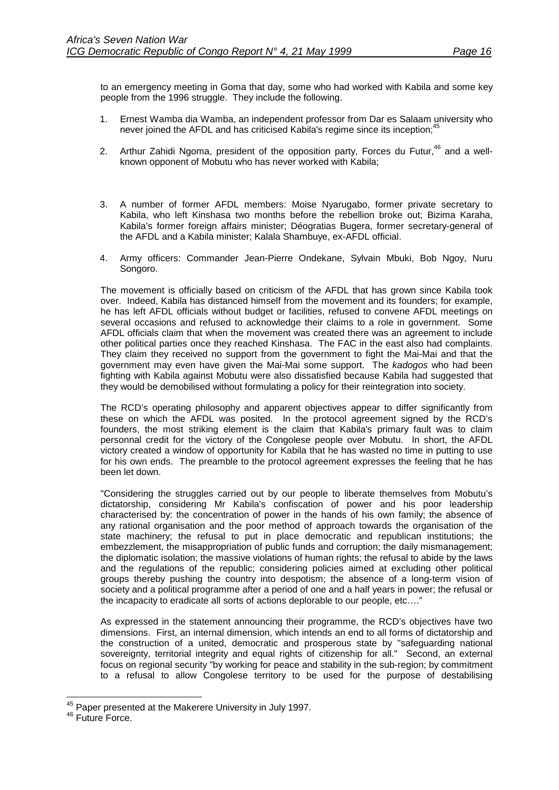to an emergency meeting in Goma that day, some who had worked with Kabila and some key people from the 1996 struggle. They include the following.

- 1. Ernest Wamba dia Wamba, an independent professor from Dar es Salaam university who never joined the AFDL and has criticised Kabila's regime since its inception;<sup>45</sup>
- 2. Arthur Zahidi Ngoma, president of the opposition party, Forces du Futur,  $46$  and a wellknown opponent of Mobutu who has never worked with Kabila;
- 3. A number of former AFDL members: Moise Nyarugabo, former private secretary to Kabila, who left Kinshasa two months before the rebellion broke out; Bizima Karaha, Kabila's former foreign affairs minister; Déogratias Bugera, former secretary-general of the AFDL and a Kabila minister; Kalala Shambuye, ex-AFDL official.
- 4. Army officers: Commander Jean-Pierre Ondekane, Sylvain Mbuki, Bob Ngoy, Nuru Songoro.

The movement is officially based on criticism of the AFDL that has grown since Kabila took over. Indeed, Kabila has distanced himself from the movement and its founders; for example, he has left AFDL officials without budget or facilities, refused to convene AFDL meetings on several occasions and refused to acknowledge their claims to a role in government. Some AFDL officials claim that when the movement was created there was an agreement to include other political parties once they reached Kinshasa. The FAC in the east also had complaints. They claim they received no support from the government to fight the Mai-Mai and that the government may even have given the Mai-Mai some support. The *kadogos* who had been fighting with Kabila against Mobutu were also dissatisfied because Kabila had suggested that they would be demobilised without formulating a policy for their reintegration into society.

The RCD's operating philosophy and apparent objectives appear to differ significantly from these on which the AFDL was posited. In the protocol agreement signed by the RCD's founders, the most striking element is the claim that Kabila's primary fault was to claim personnal credit for the victory of the Congolese people over Mobutu. In short, the AFDL victory created a window of opportunity for Kabila that he has wasted no time in putting to use for his own ends. The preamble to the protocol agreement expresses the feeling that he has been let down.

"Considering the struggles carried out by our people to liberate themselves from Mobutu's dictatorship, considering Mr Kabila's confiscation of power and his poor leadership characterised by: the concentration of power in the hands of his own family; the absence of any rational organisation and the poor method of approach towards the organisation of the state machinery; the refusal to put in place democratic and republican institutions; the embezzlement, the misappropriation of public funds and corruption; the daily mismanagement; the diplomatic isolation; the massive violations of human rights; the refusal to abide by the laws and the regulations of the republic; considering policies aimed at excluding other political groups thereby pushing the country into despotism; the absence of a long-term vision of society and a political programme after a period of one and a half years in power; the refusal or the incapacity to eradicate all sorts of actions deplorable to our people, etc…."

As expressed in the statement announcing their programme, the RCD's objectives have two dimensions. First, an internal dimension, which intends an end to all forms of dictatorship and the construction of a united, democratic and prosperous state by "safeguarding national sovereignty, territorial integrity and equal rights of citizenship for all." Second, an external focus on regional security "by working for peace and stability in the sub-region; by commitment to a refusal to allow Congolese territory to be used for the purpose of destabilising

l

<sup>&</sup>lt;sup>45</sup> Paper presented at the Makerere University in July 1997.<br><sup>46</sup> Future Force.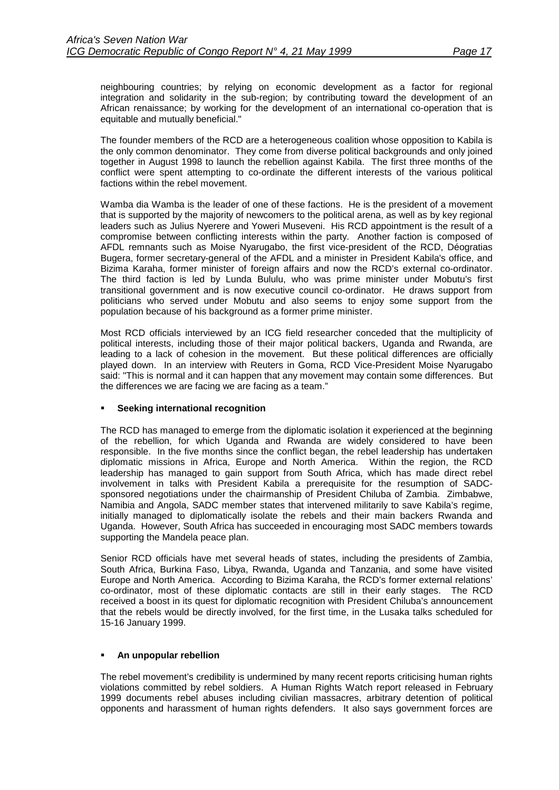neighbouring countries; by relying on economic development as a factor for regional integration and solidarity in the sub-region; by contributing toward the development of an African renaissance; by working for the development of an international co-operation that is equitable and mutually beneficial."

The founder members of the RCD are a heterogeneous coalition whose opposition to Kabila is the only common denominator. They come from diverse political backgrounds and only joined together in August 1998 to launch the rebellion against Kabila. The first three months of the conflict were spent attempting to co-ordinate the different interests of the various political factions within the rebel movement.

Wamba dia Wamba is the leader of one of these factions. He is the president of a movement that is supported by the majority of newcomers to the political arena, as well as by key regional leaders such as Julius Nyerere and Yoweri Museveni. His RCD appointment is the result of a compromise between conflicting interests within the party. Another faction is composed of AFDL remnants such as Moise Nyarugabo, the first vice-president of the RCD, Déogratias Bugera, former secretary-general of the AFDL and a minister in President Kabila's office, and Bizima Karaha, former minister of foreign affairs and now the RCD's external co-ordinator. The third faction is led by Lunda Bululu, who was prime minister under Mobutu's first transitional government and is now executive council co-ordinator. He draws support from politicians who served under Mobutu and also seems to enjoy some support from the population because of his background as a former prime minister.

Most RCD officials interviewed by an ICG field researcher conceded that the multiplicity of political interests, including those of their major political backers, Uganda and Rwanda, are leading to a lack of cohesion in the movement. But these political differences are officially played down. In an interview with Reuters in Goma, RCD Vice-President Moise Nyarugabo said: "This is normal and it can happen that any movement may contain some differences. But the differences we are facing we are facing as a team."

## !" **Seeking international recognition**

The RCD has managed to emerge from the diplomatic isolation it experienced at the beginning of the rebellion, for which Uganda and Rwanda are widely considered to have been responsible. In the five months since the conflict began, the rebel leadership has undertaken diplomatic missions in Africa, Europe and North America. Within the region, the RCD leadership has managed to gain support from South Africa, which has made direct rebel involvement in talks with President Kabila a prerequisite for the resumption of SADCsponsored negotiations under the chairmanship of President Chiluba of Zambia. Zimbabwe, Namibia and Angola, SADC member states that intervened militarily to save Kabila's regime, initially managed to diplomatically isolate the rebels and their main backers Rwanda and Uganda. However, South Africa has succeeded in encouraging most SADC members towards supporting the Mandela peace plan.

Senior RCD officials have met several heads of states, including the presidents of Zambia, South Africa, Burkina Faso, Libya, Rwanda, Uganda and Tanzania, and some have visited Europe and North America. According to Bizima Karaha, the RCD's former external relations' co-ordinator, most of these diplomatic contacts are still in their early stages. The RCD received a boost in its quest for diplomatic recognition with President Chiluba's announcement that the rebels would be directly involved, for the first time, in the Lusaka talks scheduled for 15-16 January 1999.

## !" **An unpopular rebellion**

The rebel movement's credibility is undermined by many recent reports criticising human rights violations committed by rebel soldiers. A Human Rights Watch report released in February 1999 documents rebel abuses including civilian massacres, arbitrary detention of political opponents and harassment of human rights defenders. It also says government forces are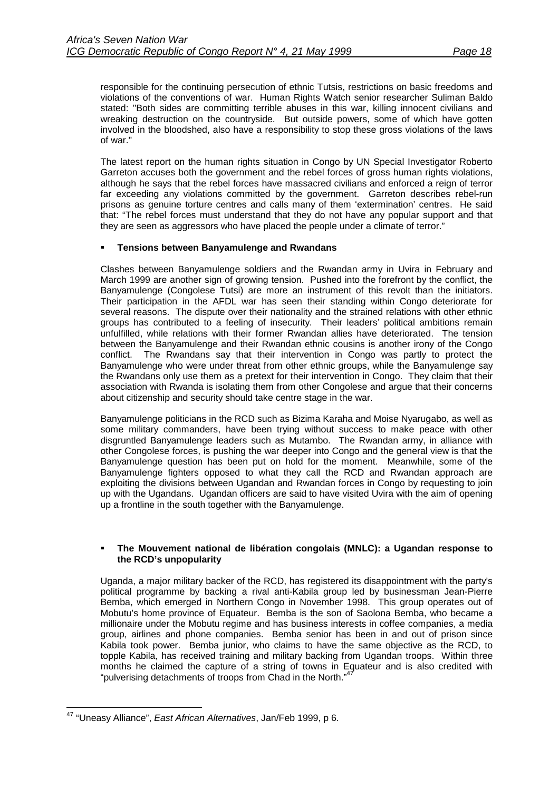responsible for the continuing persecution of ethnic Tutsis, restrictions on basic freedoms and violations of the conventions of war. Human Rights Watch senior researcher Suliman Baldo stated: "Both sides are committing terrible abuses in this war, killing innocent civilians and wreaking destruction on the countryside. But outside powers, some of which have gotten involved in the bloodshed, also have a responsibility to stop these gross violations of the laws of war."

The latest report on the human rights situation in Congo by UN Special Investigator Roberto Garreton accuses both the government and the rebel forces of gross human rights violations, although he says that the rebel forces have massacred civilians and enforced a reign of terror far exceeding any violations committed by the government. Garreton describes rebel-run prisons as genuine torture centres and calls many of them 'extermination' centres. He said that: "The rebel forces must understand that they do not have any popular support and that they are seen as aggressors who have placed the people under a climate of terror."

## !" **Tensions between Banyamulenge and Rwandans**

Clashes between Banyamulenge soldiers and the Rwandan army in Uvira in February and March 1999 are another sign of growing tension. Pushed into the forefront by the conflict, the Banyamulenge (Congolese Tutsi) are more an instrument of this revolt than the initiators. Their participation in the AFDL war has seen their standing within Congo deteriorate for several reasons. The dispute over their nationality and the strained relations with other ethnic groups has contributed to a feeling of insecurity. Their leaders' political ambitions remain unfulfilled, while relations with their former Rwandan allies have deteriorated. The tension between the Banyamulenge and their Rwandan ethnic cousins is another irony of the Congo conflict. The Rwandans say that their intervention in Congo was partly to protect the Banyamulenge who were under threat from other ethnic groups, while the Banyamulenge say the Rwandans only use them as a pretext for their intervention in Congo. They claim that their association with Rwanda is isolating them from other Congolese and argue that their concerns about citizenship and security should take centre stage in the war.

Banyamulenge politicians in the RCD such as Bizima Karaha and Moise Nyarugabo, as well as some military commanders, have been trying without success to make peace with other disgruntled Banyamulenge leaders such as Mutambo. The Rwandan army, in alliance with other Congolese forces, is pushing the war deeper into Congo and the general view is that the Banyamulenge question has been put on hold for the moment. Meanwhile, some of the Banyamulenge fighters opposed to what they call the RCD and Rwandan approach are exploiting the divisions between Ugandan and Rwandan forces in Congo by requesting to join up with the Ugandans. Ugandan officers are said to have visited Uvira with the aim of opening up a frontline in the south together with the Banyamulenge.

### !" **The Mouvement national de libération congolais (MNLC): a Ugandan response to the RCD's unpopularity**

Uganda, a major military backer of the RCD, has registered its disappointment with the party's political programme by backing a rival anti-Kabila group led by businessman Jean-Pierre Bemba, which emerged in Northern Congo in November 1998. This group operates out of Mobutu's home province of Equateur. Bemba is the son of Saolona Bemba, who became a millionaire under the Mobutu regime and has business interests in coffee companies, a media group, airlines and phone companies. Bemba senior has been in and out of prison since Kabila took power. Bemba junior, who claims to have the same objective as the RCD, to topple Kabila, has received training and military backing from Ugandan troops. Within three months he claimed the capture of a string of towns in Equateur and is also credited with "pulverising detachments of troops from Chad in the North."<sup>4</sup>

l 47 "Uneasy Alliance", *East African Alternatives*, Jan/Feb 1999, p 6.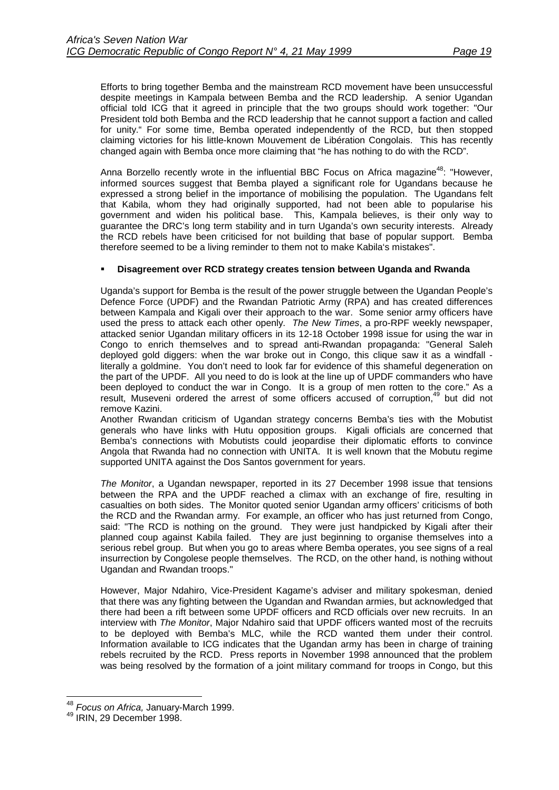Efforts to bring together Bemba and the mainstream RCD movement have been unsuccessful despite meetings in Kampala between Bemba and the RCD leadership. A senior Ugandan official told ICG that it agreed in principle that the two groups should work together: "Our President told both Bemba and the RCD leadership that he cannot support a faction and called for unity." For some time, Bemba operated independently of the RCD, but then stopped claiming victories for his little-known Mouvement de Libération Congolais. This has recently changed again with Bemba once more claiming that "he has nothing to do with the RCD".

Anna Borzello recently wrote in the influential BBC Focus on Africa magazine<sup>48</sup>: "However, informed sources suggest that Bemba played a significant role for Ugandans because he expressed a strong belief in the importance of mobilising the population. The Ugandans felt that Kabila, whom they had originally supported, had not been able to popularise his government and widen his political base. This, Kampala believes, is their only way to guarantee the DRC's long term stability and in turn Uganda's own security interests. Already the RCD rebels have been criticised for not building that base of popular support. Bemba therefore seemed to be a living reminder to them not to make Kabila's mistakes".

## !" **Disagreement over RCD strategy creates tension between Uganda and Rwanda**

Uganda's support for Bemba is the result of the power struggle between the Ugandan People's Defence Force (UPDF) and the Rwandan Patriotic Army (RPA) and has created differences between Kampala and Kigali over their approach to the war. Some senior army officers have used the press to attack each other openly. *The New Times*, a pro-RPF weekly newspaper, attacked senior Ugandan military officers in its 12-18 October 1998 issue for using the war in Congo to enrich themselves and to spread anti-Rwandan propaganda: "General Saleh deployed gold diggers: when the war broke out in Congo, this clique saw it as a windfall literally a goldmine. You don't need to look far for evidence of this shameful degeneration on the part of the UPDF. All you need to do is look at the line up of UPDF commanders who have been deployed to conduct the war in Congo. It is a group of men rotten to the core." As a result, Museveni ordered the arrest of some officers accused of corruption,<sup>49</sup> but did not remove Kazini.

Another Rwandan criticism of Ugandan strategy concerns Bemba's ties with the Mobutist generals who have links with Hutu opposition groups. Kigali officials are concerned that Bemba's connections with Mobutists could jeopardise their diplomatic efforts to convince Angola that Rwanda had no connection with UNITA. It is well known that the Mobutu regime supported UNITA against the Dos Santos government for years.

*The Monitor*, a Ugandan newspaper, reported in its 27 December 1998 issue that tensions between the RPA and the UPDF reached a climax with an exchange of fire, resulting in casualties on both sides. The Monitor quoted senior Ugandan army officers' criticisms of both the RCD and the Rwandan army. For example, an officer who has just returned from Congo, said: "The RCD is nothing on the ground. They were just handpicked by Kigali after their planned coup against Kabila failed. They are just beginning to organise themselves into a serious rebel group. But when you go to areas where Bemba operates, you see signs of a real insurrection by Congolese people themselves. The RCD, on the other hand, is nothing without Ugandan and Rwandan troops."

However, Major Ndahiro, Vice-President Kagame's adviser and military spokesman, denied that there was any fighting between the Ugandan and Rwandan armies, but acknowledged that there had been a rift between some UPDF officers and RCD officials over new recruits. In an interview with *The Monitor*, Major Ndahiro said that UPDF officers wanted most of the recruits to be deployed with Bemba's MLC, while the RCD wanted them under their control. Information available to ICG indicates that the Ugandan army has been in charge of training rebels recruited by the RCD. Press reports in November 1998 announced that the problem was being resolved by the formation of a joint military command for troops in Congo, but this

 $\overline{\phantom{a}}$ <sup>48</sup> *Focus on Africa,* January-March 1999.<br><sup>49</sup> IRIN, 29 December 1998.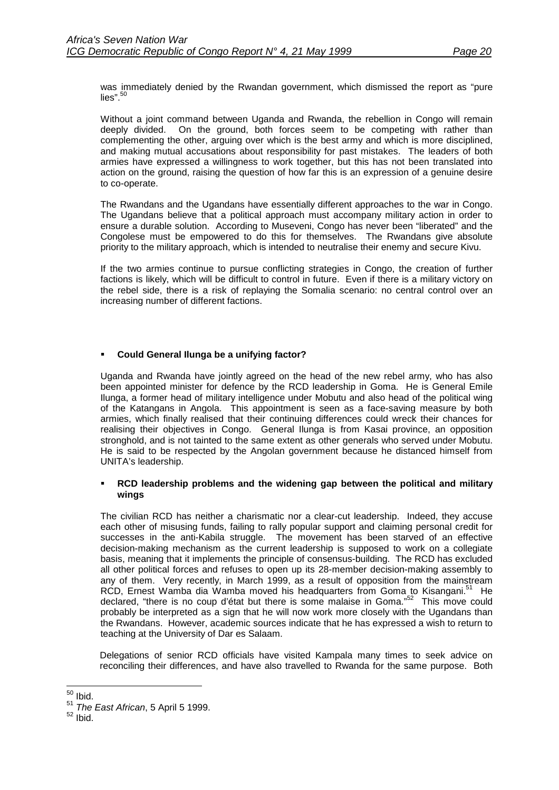was immediately denied by the Rwandan government, which dismissed the report as "pure lies". $50$ 

Without a joint command between Uganda and Rwanda, the rebellion in Congo will remain deeply divided. On the ground, both forces seem to be competing with rather than complementing the other, arguing over which is the best army and which is more disciplined, and making mutual accusations about responsibility for past mistakes. The leaders of both armies have expressed a willingness to work together, but this has not been translated into action on the ground, raising the question of how far this is an expression of a genuine desire to co-operate.

The Rwandans and the Ugandans have essentially different approaches to the war in Congo. The Ugandans believe that a political approach must accompany military action in order to ensure a durable solution. According to Museveni, Congo has never been "liberated" and the Congolese must be empowered to do this for themselves. The Rwandans give absolute priority to the military approach, which is intended to neutralise their enemy and secure Kivu.

If the two armies continue to pursue conflicting strategies in Congo, the creation of further factions is likely, which will be difficult to control in future. Even if there is a military victory on the rebel side, there is a risk of replaying the Somalia scenario: no central control over an increasing number of different factions.

## !" **Could General Ilunga be a unifying factor?**

Uganda and Rwanda have jointly agreed on the head of the new rebel army, who has also been appointed minister for defence by the RCD leadership in Goma. He is General Emile Ilunga, a former head of military intelligence under Mobutu and also head of the political wing of the Katangans in Angola. This appointment is seen as a face-saving measure by both armies, which finally realised that their continuing differences could wreck their chances for realising their objectives in Congo. General Ilunga is from Kasai province, an opposition stronghold, and is not tainted to the same extent as other generals who served under Mobutu. He is said to be respected by the Angolan government because he distanced himself from UNITA's leadership.

### !" **RCD leadership problems and the widening gap between the political and military wings**

The civilian RCD has neither a charismatic nor a clear-cut leadership. Indeed, they accuse each other of misusing funds, failing to rally popular support and claiming personal credit for successes in the anti-Kabila struggle. The movement has been starved of an effective decision-making mechanism as the current leadership is supposed to work on a collegiate basis, meaning that it implements the principle of consensus-building. The RCD has excluded all other political forces and refuses to open up its 28-member decision-making assembly to any of them. Very recently, in March 1999, as a result of opposition from the mainstream RCD, Ernest Wamba dia Wamba moved his headquarters from Goma to Kisangani.<sup>51</sup> He declared, "there is no coup d'état but there is some malaise in Goma."<sup>52</sup> This move could probably be interpreted as a sign that he will now work more closely with the Ugandans than the Rwandans. However, academic sources indicate that he has expressed a wish to return to teaching at the University of Dar es Salaam.

Delegations of senior RCD officials have visited Kampala many times to seek advice on reconciling their differences, and have also travelled to Rwanda for the same purpose. Both

l  $50$  Ibid.

<sup>51</sup> *The East African*, 5 April 5 1999.<br><sup>52</sup> Ibid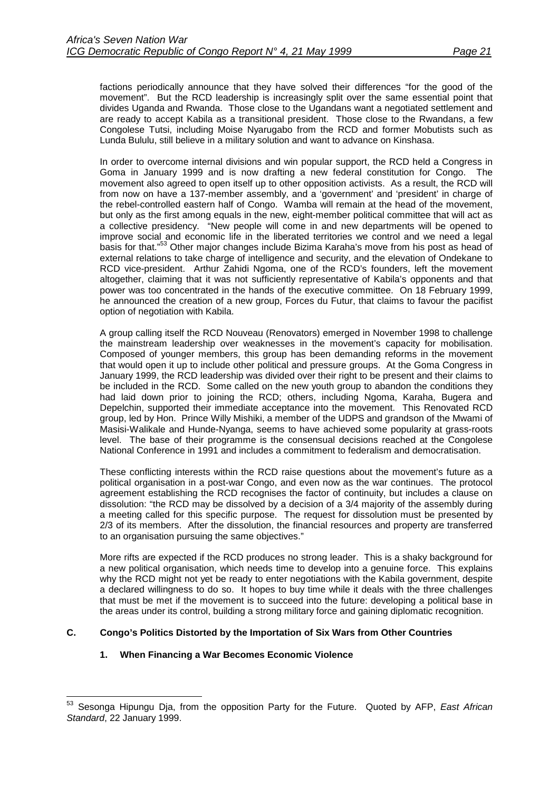<span id="page-24-0"></span>factions periodically announce that they have solved their differences "for the good of the movement". But the RCD leadership is increasingly split over the same essential point that divides Uganda and Rwanda. Those close to the Ugandans want a negotiated settlement and are ready to accept Kabila as a transitional president. Those close to the Rwandans, a few Congolese Tutsi, including Moise Nyarugabo from the RCD and former Mobutists such as Lunda Bululu, still believe in a military solution and want to advance on Kinshasa.

In order to overcome internal divisions and win popular support, the RCD held a Congress in Goma in January 1999 and is now drafting a new federal constitution for Congo. The movement also agreed to open itself up to other opposition activists. As a result, the RCD will from now on have a 137-member assembly, and a 'government' and 'president' in charge of the rebel-controlled eastern half of Congo. Wamba will remain at the head of the movement, but only as the first among equals in the new, eight-member political committee that will act as a collective presidency. "New people will come in and new departments will be opened to improve social and economic life in the liberated territories we control and we need a legal basis for that."<sup>53</sup> Other major changes include Bizima Karaha's move from his post as head of external relations to take charge of intelligence and security, and the elevation of Ondekane to RCD vice-president. Arthur Zahidi Ngoma, one of the RCD's founders, left the movement altogether, claiming that it was not sufficiently representative of Kabila's opponents and that power was too concentrated in the hands of the executive committee. On 18 February 1999, he announced the creation of a new group, Forces du Futur, that claims to favour the pacifist option of negotiation with Kabila.

A group calling itself the RCD Nouveau (Renovators) emerged in November 1998 to challenge the mainstream leadership over weaknesses in the movement's capacity for mobilisation. Composed of younger members, this group has been demanding reforms in the movement that would open it up to include other political and pressure groups. At the Goma Congress in January 1999, the RCD leadership was divided over their right to be present and their claims to be included in the RCD. Some called on the new youth group to abandon the conditions they had laid down prior to joining the RCD; others, including Ngoma, Karaha, Bugera and Depelchin, supported their immediate acceptance into the movement. This Renovated RCD group, led by Hon. Prince Willy Mishiki, a member of the UDPS and grandson of the Mwami of Masisi-Walikale and Hunde-Nyanga, seems to have achieved some popularity at grass-roots level. The base of their programme is the consensual decisions reached at the Congolese National Conference in 1991 and includes a commitment to federalism and democratisation.

These conflicting interests within the RCD raise questions about the movement's future as a political organisation in a post-war Congo, and even now as the war continues. The protocol agreement establishing the RCD recognises the factor of continuity, but includes a clause on dissolution: "the RCD may be dissolved by a decision of a 3/4 majority of the assembly during a meeting called for this specific purpose. The request for dissolution must be presented by 2/3 of its members. After the dissolution, the financial resources and property are transferred to an organisation pursuing the same objectives."

More rifts are expected if the RCD produces no strong leader. This is a shaky background for a new political organisation, which needs time to develop into a genuine force. This explains why the RCD might not yet be ready to enter negotiations with the Kabila government, despite a declared willingness to do so. It hopes to buy time while it deals with the three challenges that must be met if the movement is to succeed into the future: developing a political base in the areas under its control, building a strong military force and gaining diplomatic recognition.

## **C. Congo's Politics Distorted by the Importation of Six Wars from Other Countries**

## **1. When Financing a War Becomes Economic Violence**

 53 Sesonga Hipungu Dja, from the opposition Party for the Future. Quoted by AFP, *East African Standard*, 22 January 1999.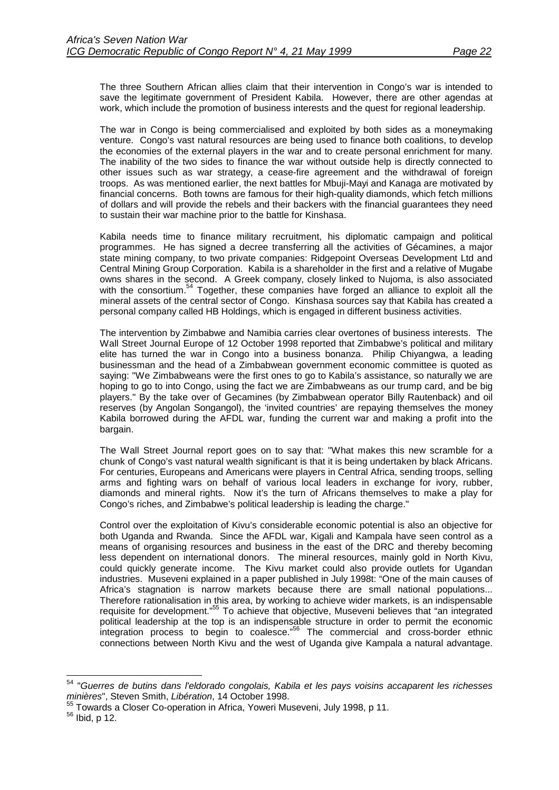The three Southern African allies claim that their intervention in Congo's war is intended to save the legitimate government of President Kabila. However, there are other agendas at work, which include the promotion of business interests and the quest for regional leadership.

The war in Congo is being commercialised and exploited by both sides as a moneymaking venture. Congo's vast natural resources are being used to finance both coalitions, to develop the economies of the external players in the war and to create personal enrichment for many. The inability of the two sides to finance the war without outside help is directly connected to other issues such as war strategy, a cease-fire agreement and the withdrawal of foreign troops. As was mentioned earlier, the next battles for Mbuji-Mayi and Kanaga are motivated by financial concerns. Both towns are famous for their high-quality diamonds, which fetch millions of dollars and will provide the rebels and their backers with the financial guarantees they need to sustain their war machine prior to the battle for Kinshasa.

Kabila needs time to finance military recruitment, his diplomatic campaign and political programmes. He has signed a decree transferring all the activities of Gécamines, a major state mining company, to two private companies: Ridgepoint Overseas Development Ltd and Central Mining Group Corporation. Kabila is a shareholder in the first and a relative of Mugabe owns shares in the second. A Greek company, closely linked to Nujoma, is also associated with the consortium.<sup>54</sup> Together, these companies have forged an alliance to exploit all the mineral assets of the central sector of Congo. Kinshasa sources say that Kabila has created a personal company called HB Holdings, which is engaged in different business activities.

The intervention by Zimbabwe and Namibia carries clear overtones of business interests. The Wall Street Journal Europe of 12 October 1998 reported that Zimbabwe's political and military elite has turned the war in Congo into a business bonanza. Philip Chiyangwa, a leading businessman and the head of a Zimbabwean government economic committee is quoted as saying: "We Zimbabweans were the first ones to go to Kabila's assistance, so naturally we are hoping to go to into Congo, using the fact we are Zimbabweans as our trump card, and be big players." By the take over of Gecamines (by Zimbabwean operator Billy Rautenback) and oil reserves (by Angolan Songangol), the 'invited countries' are repaying themselves the money Kabila borrowed during the AFDL war, funding the current war and making a profit into the bargain.

The Wall Street Journal report goes on to say that: "What makes this new scramble for a chunk of Congo's vast natural wealth significant is that it is being undertaken by black Africans. For centuries, Europeans and Americans were players in Central Africa, sending troops, selling arms and fighting wars on behalf of various local leaders in exchange for ivory, rubber, diamonds and mineral rights. Now it's the turn of Africans themselves to make a play for Congo's riches, and Zimbabwe's political leadership is leading the charge."

Control over the exploitation of Kivu's considerable economic potential is also an objective for both Uganda and Rwanda. Since the AFDL war, Kigali and Kampala have seen control as a means of organising resources and business in the east of the DRC and thereby becoming less dependent on international donors. The mineral resources, mainly gold in North Kivu, could quickly generate income. The Kivu market could also provide outlets for Ugandan industries. Museveni explained in a paper published in July 1998t: "One of the main causes of Africa's stagnation is narrow markets because there are small national populations... Therefore rationalisation in this area, by working to achieve wider markets, is an indispensable requisite for development."<sup>55</sup> To achieve that objective, Museveni believes that "an integrated political leadership at the top is an indispensable structure in order to permit the economic integration process to begin to coalesce."56 The commercial and cross-border ethnic connections between North Kivu and the west of Uganda give Kampala a natural advantage.

l

<sup>54 &</sup>quot;*Guerres de butins dans l'eldorado congolais, Kabila et les pays voisins accaparent les richesses minières*", Steven Smith, *Libération*, 14 October 1998.

 $<sup>55</sup>$  Towards a Closer Co-operation in Africa, Yoweri Museveni, July 1998, p 11.<br><sup>56</sup> Ibid, p 12.</sup>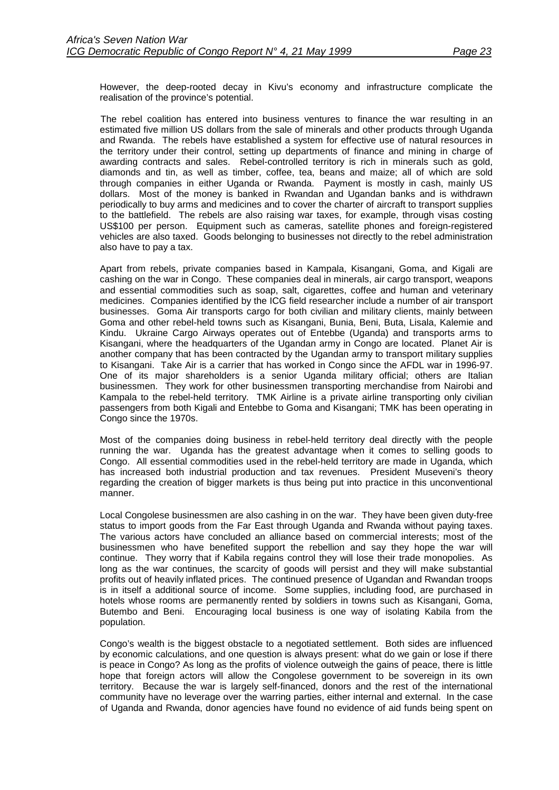However, the deep-rooted decay in Kivu's economy and infrastructure complicate the realisation of the province's potential.

The rebel coalition has entered into business ventures to finance the war resulting in an estimated five million US dollars from the sale of minerals and other products through Uganda and Rwanda. The rebels have established a system for effective use of natural resources in the territory under their control, setting up departments of finance and mining in charge of awarding contracts and sales. Rebel-controlled territory is rich in minerals such as gold, diamonds and tin, as well as timber, coffee, tea, beans and maize; all of which are sold through companies in either Uganda or Rwanda. Payment is mostly in cash, mainly US dollars. Most of the money is banked in Rwandan and Ugandan banks and is withdrawn periodically to buy arms and medicines and to cover the charter of aircraft to transport supplies to the battlefield. The rebels are also raising war taxes, for example, through visas costing US\$100 per person. Equipment such as cameras, satellite phones and foreign-registered vehicles are also taxed. Goods belonging to businesses not directly to the rebel administration also have to pay a tax.

Apart from rebels, private companies based in Kampala, Kisangani, Goma, and Kigali are cashing on the war in Congo. These companies deal in minerals, air cargo transport, weapons and essential commodities such as soap, salt, cigarettes, coffee and human and veterinary medicines. Companies identified by the ICG field researcher include a number of air transport businesses. Goma Air transports cargo for both civilian and military clients, mainly between Goma and other rebel-held towns such as Kisangani, Bunia, Beni, Buta, Lisala, Kalemie and Kindu. Ukraine Cargo Airways operates out of Entebbe (Uganda) and transports arms to Kisangani, where the headquarters of the Ugandan army in Congo are located. Planet Air is another company that has been contracted by the Ugandan army to transport military supplies to Kisangani. Take Air is a carrier that has worked in Congo since the AFDL war in 1996-97. One of its major shareholders is a senior Uganda military official; others are Italian businessmen. They work for other businessmen transporting merchandise from Nairobi and Kampala to the rebel-held territory. TMK Airline is a private airline transporting only civilian passengers from both Kigali and Entebbe to Goma and Kisangani; TMK has been operating in Congo since the 1970s.

Most of the companies doing business in rebel-held territory deal directly with the people running the war. Uganda has the greatest advantage when it comes to selling goods to Congo. All essential commodities used in the rebel-held territory are made in Uganda, which has increased both industrial production and tax revenues. President Museveni's theory regarding the creation of bigger markets is thus being put into practice in this unconventional manner.

Local Congolese businessmen are also cashing in on the war. They have been given duty-free status to import goods from the Far East through Uganda and Rwanda without paying taxes. The various actors have concluded an alliance based on commercial interests; most of the businessmen who have benefited support the rebellion and say they hope the war will continue. They worry that if Kabila regains control they will lose their trade monopolies. As long as the war continues, the scarcity of goods will persist and they will make substantial profits out of heavily inflated prices. The continued presence of Ugandan and Rwandan troops is in itself a additional source of income. Some supplies, including food, are purchased in hotels whose rooms are permanently rented by soldiers in towns such as Kisangani, Goma, Butembo and Beni. Encouraging local business is one way of isolating Kabila from the population.

Congo's wealth is the biggest obstacle to a negotiated settlement. Both sides are influenced by economic calculations, and one question is always present: what do we gain or lose if there is peace in Congo? As long as the profits of violence outweigh the gains of peace, there is little hope that foreign actors will allow the Congolese government to be sovereign in its own territory. Because the war is largely self-financed, donors and the rest of the international community have no leverage over the warring parties, either internal and external. In the case of Uganda and Rwanda, donor agencies have found no evidence of aid funds being spent on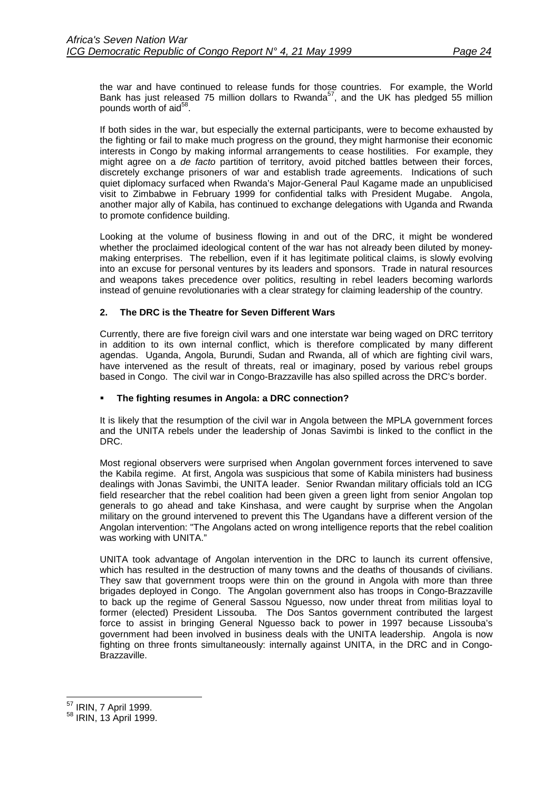<span id="page-27-0"></span>the war and have continued to release funds for those countries. For example, the World Bank has just released 75 million dollars to Rwanda<sup>57</sup>, and the UK has pledged 55 million pounds worth of aid<sup>58</sup>.

If both sides in the war, but especially the external participants, were to become exhausted by the fighting or fail to make much progress on the ground, they might harmonise their economic interests in Congo by making informal arrangements to cease hostilities. For example, they might agree on a *de facto* partition of territory, avoid pitched battles between their forces, discretely exchange prisoners of war and establish trade agreements. Indications of such quiet diplomacy surfaced when Rwanda's Major-General Paul Kagame made an unpublicised visit to Zimbabwe in February 1999 for confidential talks with President Mugabe. Angola, another major ally of Kabila, has continued to exchange delegations with Uganda and Rwanda to promote confidence building.

Looking at the volume of business flowing in and out of the DRC, it might be wondered whether the proclaimed ideological content of the war has not already been diluted by moneymaking enterprises. The rebellion, even if it has legitimate political claims, is slowly evolving into an excuse for personal ventures by its leaders and sponsors. Trade in natural resources and weapons takes precedence over politics, resulting in rebel leaders becoming warlords instead of genuine revolutionaries with a clear strategy for claiming leadership of the country.

## **2. The DRC is the Theatre for Seven Different Wars**

Currently, there are five foreign civil wars and one interstate war being waged on DRC territory in addition to its own internal conflict, which is therefore complicated by many different agendas. Uganda, Angola, Burundi, Sudan and Rwanda, all of which are fighting civil wars, have intervened as the result of threats, real or imaginary, posed by various rebel groups based in Congo. The civil war in Congo-Brazzaville has also spilled across the DRC's border.

## !" **The fighting resumes in Angola: a DRC connection?**

It is likely that the resumption of the civil war in Angola between the MPLA government forces and the UNITA rebels under the leadership of Jonas Savimbi is linked to the conflict in the DRC.

Most regional observers were surprised when Angolan government forces intervened to save the Kabila regime. At first, Angola was suspicious that some of Kabila ministers had business dealings with Jonas Savimbi, the UNITA leader. Senior Rwandan military officials told an ICG field researcher that the rebel coalition had been given a green light from senior Angolan top generals to go ahead and take Kinshasa, and were caught by surprise when the Angolan military on the ground intervened to prevent this The Ugandans have a different version of the Angolan intervention: "The Angolans acted on wrong intelligence reports that the rebel coalition was working with UNITA."

UNITA took advantage of Angolan intervention in the DRC to launch its current offensive, which has resulted in the destruction of many towns and the deaths of thousands of civilians. They saw that government troops were thin on the ground in Angola with more than three brigades deployed in Congo. The Angolan government also has troops in Congo-Brazzaville to back up the regime of General Sassou Nguesso, now under threat from militias loyal to former (elected) President Lissouba. The Dos Santos government contributed the largest force to assist in bringing General Nguesso back to power in 1997 because Lissouba's government had been involved in business deals with the UNITA leadership. Angola is now fighting on three fronts simultaneously: internally against UNITA, in the DRC and in Congo-Brazzaville.

<sup>&</sup>lt;sup>57</sup> IRIN, 7 April 1999.

<sup>&</sup>lt;sup>58</sup> IRIN, 13 April 1999.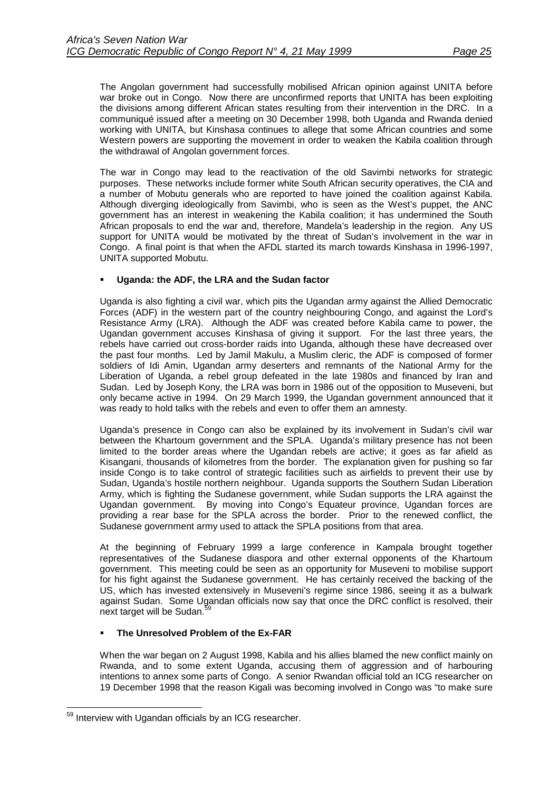The Angolan government had successfully mobilised African opinion against UNITA before war broke out in Congo. Now there are unconfirmed reports that UNITA has been exploiting the divisions among different African states resulting from their intervention in the DRC. In a communiqué issued after a meeting on 30 December 1998, both Uganda and Rwanda denied working with UNITA, but Kinshasa continues to allege that some African countries and some Western powers are supporting the movement in order to weaken the Kabila coalition through the withdrawal of Angolan government forces.

The war in Congo may lead to the reactivation of the old Savimbi networks for strategic purposes. These networks include former white South African security operatives, the CIA and a number of Mobutu generals who are reported to have joined the coalition against Kabila. Although diverging ideologically from Savimbi, who is seen as the West's puppet, the ANC government has an interest in weakening the Kabila coalition; it has undermined the South African proposals to end the war and, therefore, Mandela's leadership in the region. Any US support for UNITA would be motivated by the threat of Sudan's involvement in the war in Congo. A final point is that when the AFDL started its march towards Kinshasa in 1996-1997, UNITA supported Mobutu.

## Uganda: the ADF, the LRA and the Sudan factor

Uganda is also fighting a civil war, which pits the Ugandan army against the Allied Democratic Forces (ADF) in the western part of the country neighbouring Congo, and against the Lord's Resistance Army (LRA). Although the ADF was created before Kabila came to power, the Ugandan government accuses Kinshasa of giving it support. For the last three years, the rebels have carried out cross-border raids into Uganda, although these have decreased over the past four months. Led by Jamil Makulu, a Muslim cleric, the ADF is composed of former soldiers of Idi Amin, Ugandan army deserters and remnants of the National Army for the Liberation of Uganda, a rebel group defeated in the late 1980s and financed by Iran and Sudan. Led by Joseph Kony, the LRA was born in 1986 out of the opposition to Museveni, but only became active in 1994. On 29 March 1999, the Ugandan government announced that it was ready to hold talks with the rebels and even to offer them an amnesty.

Uganda's presence in Congo can also be explained by its involvement in Sudan's civil war between the Khartoum government and the SPLA. Uganda's military presence has not been limited to the border areas where the Ugandan rebels are active; it goes as far afield as Kisangani, thousands of kilometres from the border. The explanation given for pushing so far inside Congo is to take control of strategic facilities such as airfields to prevent their use by Sudan, Uganda's hostile northern neighbour. Uganda supports the Southern Sudan Liberation Army, which is fighting the Sudanese government, while Sudan supports the LRA against the Ugandan government. By moving into Congo's Equateur province, Ugandan forces are providing a rear base for the SPLA across the border. Prior to the renewed conflict, the Sudanese government army used to attack the SPLA positions from that area.

At the beginning of February 1999 a large conference in Kampala brought together representatives of the Sudanese diaspora and other external opponents of the Khartoum government. This meeting could be seen as an opportunity for Museveni to mobilise support for his fight against the Sudanese government. He has certainly received the backing of the US, which has invested extensively in Museveni's regime since 1986, seeing it as a bulwark against Sudan. Some Ugandan officials now say that once the DRC conflict is resolved, their next target will be Sudan.<sup>5</sup>

## !" **The Unresolved Problem of the Ex-FAR**

When the war began on 2 August 1998, Kabila and his allies blamed the new conflict mainly on Rwanda, and to some extent Uganda, accusing them of aggression and of harbouring intentions to annex some parts of Congo. A senior Rwandan official told an ICG researcher on 19 December 1998 that the reason Kigali was becoming involved in Congo was "to make sure

 <sup>59</sup> Interview with Ugandan officials by an ICG researcher.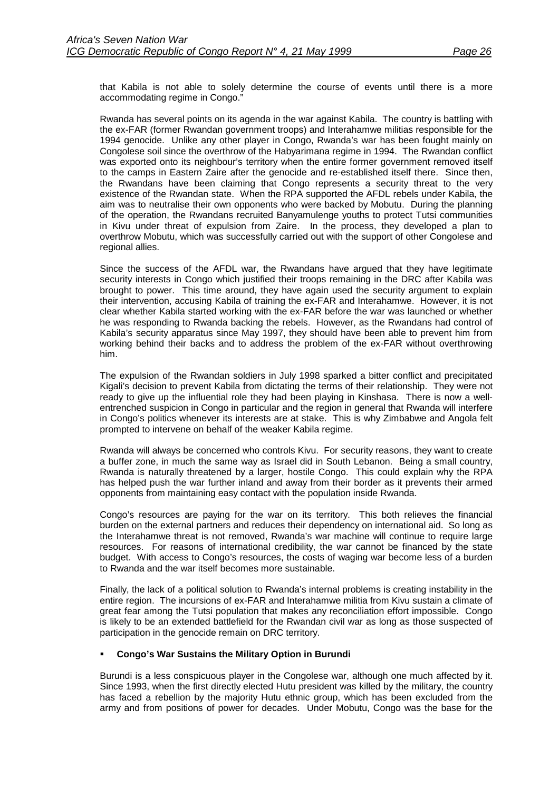that Kabila is not able to solely determine the course of events until there is a more accommodating regime in Congo."

Rwanda has several points on its agenda in the war against Kabila. The country is battling with the ex-FAR (former Rwandan government troops) and Interahamwe militias responsible for the 1994 genocide. Unlike any other player in Congo, Rwanda's war has been fought mainly on Congolese soil since the overthrow of the Habyarimana regime in 1994. The Rwandan conflict was exported onto its neighbour's territory when the entire former government removed itself to the camps in Eastern Zaire after the genocide and re-established itself there. Since then, the Rwandans have been claiming that Congo represents a security threat to the very existence of the Rwandan state. When the RPA supported the AFDL rebels under Kabila, the aim was to neutralise their own opponents who were backed by Mobutu. During the planning of the operation, the Rwandans recruited Banyamulenge youths to protect Tutsi communities in Kivu under threat of expulsion from Zaire. In the process, they developed a plan to overthrow Mobutu, which was successfully carried out with the support of other Congolese and regional allies.

Since the success of the AFDL war, the Rwandans have argued that they have legitimate security interests in Congo which justified their troops remaining in the DRC after Kabila was brought to power. This time around, they have again used the security argument to explain their intervention, accusing Kabila of training the ex-FAR and Interahamwe. However, it is not clear whether Kabila started working with the ex-FAR before the war was launched or whether he was responding to Rwanda backing the rebels. However, as the Rwandans had control of Kabila's security apparatus since May 1997, they should have been able to prevent him from working behind their backs and to address the problem of the ex-FAR without overthrowing him.

The expulsion of the Rwandan soldiers in July 1998 sparked a bitter conflict and precipitated Kigali's decision to prevent Kabila from dictating the terms of their relationship. They were not ready to give up the influential role they had been playing in Kinshasa. There is now a wellentrenched suspicion in Congo in particular and the region in general that Rwanda will interfere in Congo's politics whenever its interests are at stake. This is why Zimbabwe and Angola felt prompted to intervene on behalf of the weaker Kabila regime.

Rwanda will always be concerned who controls Kivu. For security reasons, they want to create a buffer zone, in much the same way as Israel did in South Lebanon. Being a small country, Rwanda is naturally threatened by a larger, hostile Congo. This could explain why the RPA has helped push the war further inland and away from their border as it prevents their armed opponents from maintaining easy contact with the population inside Rwanda.

Congo's resources are paying for the war on its territory. This both relieves the financial burden on the external partners and reduces their dependency on international aid. So long as the Interahamwe threat is not removed, Rwanda's war machine will continue to require large resources. For reasons of international credibility, the war cannot be financed by the state budget. With access to Congo's resources, the costs of waging war become less of a burden to Rwanda and the war itself becomes more sustainable.

Finally, the lack of a political solution to Rwanda's internal problems is creating instability in the entire region. The incursions of ex-FAR and Interahamwe militia from Kivu sustain a climate of great fear among the Tutsi population that makes any reconciliation effort impossible. Congo is likely to be an extended battlefield for the Rwandan civil war as long as those suspected of participation in the genocide remain on DRC territory.

## !" **Congo's War Sustains the Military Option in Burundi**

Burundi is a less conspicuous player in the Congolese war, although one much affected by it. Since 1993, when the first directly elected Hutu president was killed by the military, the country has faced a rebellion by the majority Hutu ethnic group, which has been excluded from the army and from positions of power for decades. Under Mobutu, Congo was the base for the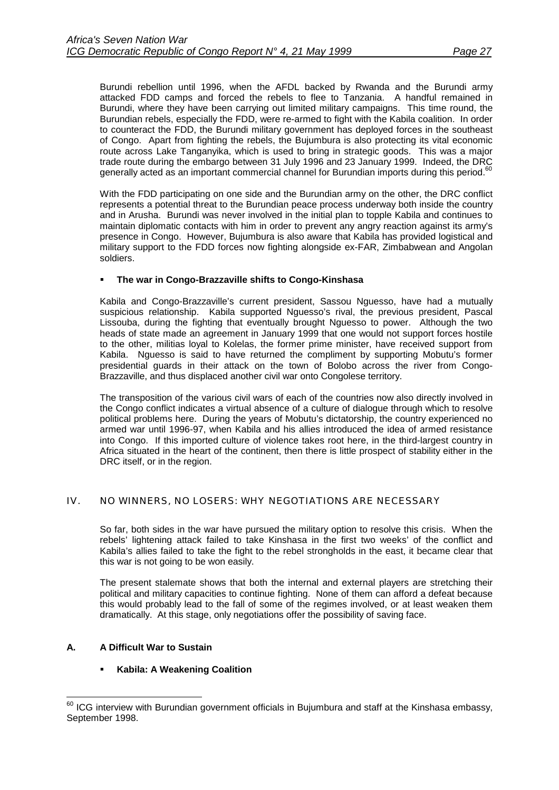<span id="page-30-0"></span>Burundi rebellion until 1996, when the AFDL backed by Rwanda and the Burundi army attacked FDD camps and forced the rebels to flee to Tanzania. A handful remained in Burundi, where they have been carrying out limited military campaigns. This time round, the Burundian rebels, especially the FDD, were re-armed to fight with the Kabila coalition. In order to counteract the FDD, the Burundi military government has deployed forces in the southeast of Congo. Apart from fighting the rebels, the Bujumbura is also protecting its vital economic route across Lake Tanganyika, which is used to bring in strategic goods. This was a major trade route during the embargo between 31 July 1996 and 23 January 1999. Indeed, the DRC generally acted as an important commercial channel for Burundian imports during this period.<sup>60</sup>

With the FDD participating on one side and the Burundian army on the other, the DRC conflict represents a potential threat to the Burundian peace process underway both inside the country and in Arusha. Burundi was never involved in the initial plan to topple Kabila and continues to maintain diplomatic contacts with him in order to prevent any angry reaction against its army's presence in Congo. However, Bujumbura is also aware that Kabila has provided logistical and military support to the FDD forces now fighting alongside ex-FAR, Zimbabwean and Angolan soldiers.

## !" **The war in Congo-Brazzaville shifts to Congo-Kinshasa**

Kabila and Congo-Brazzaville's current president, Sassou Nguesso, have had a mutually suspicious relationship. Kabila supported Nguesso's rival, the previous president, Pascal Lissouba, during the fighting that eventually brought Nguesso to power. Although the two heads of state made an agreement in January 1999 that one would not support forces hostile to the other, militias loyal to Kolelas, the former prime minister, have received support from Kabila. Nguesso is said to have returned the compliment by supporting Mobutu's former presidential guards in their attack on the town of Bolobo across the river from Congo-Brazzaville, and thus displaced another civil war onto Congolese territory.

The transposition of the various civil wars of each of the countries now also directly involved in the Congo conflict indicates a virtual absence of a culture of dialogue through which to resolve political problems here. During the years of Mobutu's dictatorship, the country experienced no armed war until 1996-97, when Kabila and his allies introduced the idea of armed resistance into Congo. If this imported culture of violence takes root here, in the third-largest country in Africa situated in the heart of the continent, then there is little prospect of stability either in the DRC itself, or in the region.

## IV. NO WINNERS, NO LOSERS: WHY NEGOTIATIONS ARE NECESSARY

So far, both sides in the war have pursued the military option to resolve this crisis. When the rebels' lightening attack failed to take Kinshasa in the first two weeks' of the conflict and Kabila's allies failed to take the fight to the rebel strongholds in the east, it became clear that this war is not going to be won easily.

The present stalemate shows that both the internal and external players are stretching their political and military capacities to continue fighting. None of them can afford a defeat because this would probably lead to the fall of some of the regimes involved, or at least weaken them dramatically. At this stage, only negotiations offer the possibility of saving face.

## **A. A Difficult War to Sustain**

## **Kabila: A Weakening Coalition**

l  $^{60}$  ICG interview with Burundian government officials in Bujumbura and staff at the Kinshasa embassy, September 1998.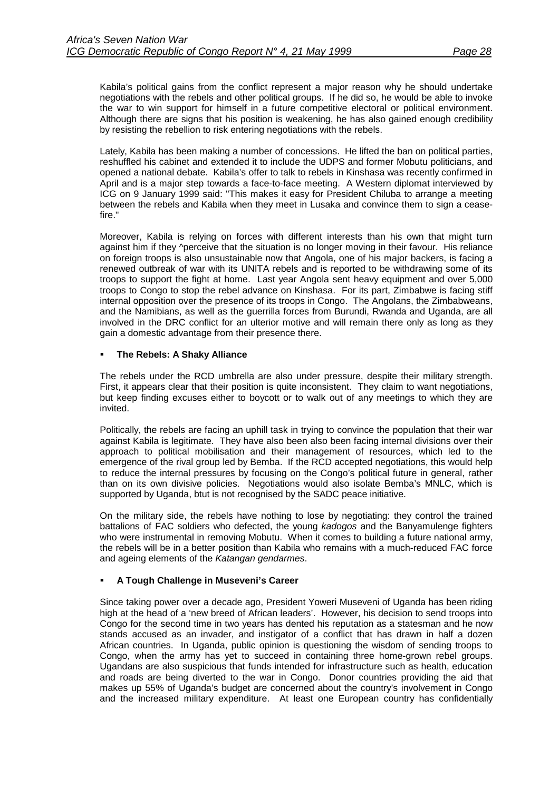Kabila's political gains from the conflict represent a major reason why he should undertake negotiations with the rebels and other political groups. If he did so, he would be able to invoke the war to win support for himself in a future competitive electoral or political environment. Although there are signs that his position is weakening, he has also gained enough credibility by resisting the rebellion to risk entering negotiations with the rebels.

Lately, Kabila has been making a number of concessions. He lifted the ban on political parties, reshuffled his cabinet and extended it to include the UDPS and former Mobutu politicians, and opened a national debate. Kabila's offer to talk to rebels in Kinshasa was recently confirmed in April and is a major step towards a face-to-face meeting. A Western diplomat interviewed by ICG on 9 January 1999 said: "This makes it easy for President Chiluba to arrange a meeting between the rebels and Kabila when they meet in Lusaka and convince them to sign a ceasefire."

Moreover, Kabila is relying on forces with different interests than his own that might turn against him if they ^perceive that the situation is no longer moving in their favour. His reliance on foreign troops is also unsustainable now that Angola, one of his major backers, is facing a renewed outbreak of war with its UNITA rebels and is reported to be withdrawing some of its troops to support the fight at home. Last year Angola sent heavy equipment and over 5,000 troops to Congo to stop the rebel advance on Kinshasa. For its part, Zimbabwe is facing stiff internal opposition over the presence of its troops in Congo. The Angolans, the Zimbabweans, and the Namibians, as well as the guerrilla forces from Burundi, Rwanda and Uganda, are all involved in the DRC conflict for an ulterior motive and will remain there only as long as they gain a domestic advantage from their presence there.

### !" **The Rebels: A Shaky Alliance**

The rebels under the RCD umbrella are also under pressure, despite their military strength. First, it appears clear that their position is quite inconsistent. They claim to want negotiations, but keep finding excuses either to boycott or to walk out of any meetings to which they are invited.

Politically, the rebels are facing an uphill task in trying to convince the population that their war against Kabila is legitimate. They have also been also been facing internal divisions over their approach to political mobilisation and their management of resources, which led to the emergence of the rival group led by Bemba. If the RCD accepted negotiations, this would help to reduce the internal pressures by focusing on the Congo's political future in general, rather than on its own divisive policies. Negotiations would also isolate Bemba's MNLC, which is supported by Uganda, btut is not recognised by the SADC peace initiative.

On the military side, the rebels have nothing to lose by negotiating: they control the trained battalions of FAC soldiers who defected, the young *kadogos* and the Banyamulenge fighters who were instrumental in removing Mobutu. When it comes to building a future national army, the rebels will be in a better position than Kabila who remains with a much-reduced FAC force and ageing elements of the *Katangan gendarmes*.

## !" **A Tough Challenge in Museveni's Career**

Since taking power over a decade ago, President Yoweri Museveni of Uganda has been riding high at the head of a 'new breed of African leaders'. However, his decision to send troops into Congo for the second time in two years has dented his reputation as a statesman and he now stands accused as an invader, and instigator of a conflict that has drawn in half a dozen African countries. In Uganda, public opinion is questioning the wisdom of sending troops to Congo, when the army has yet to succeed in containing three home-grown rebel groups. Ugandans are also suspicious that funds intended for infrastructure such as health, education and roads are being diverted to the war in Congo. Donor countries providing the aid that makes up 55% of Uganda's budget are concerned about the country's involvement in Congo and the increased military expenditure. At least one European country has confidentially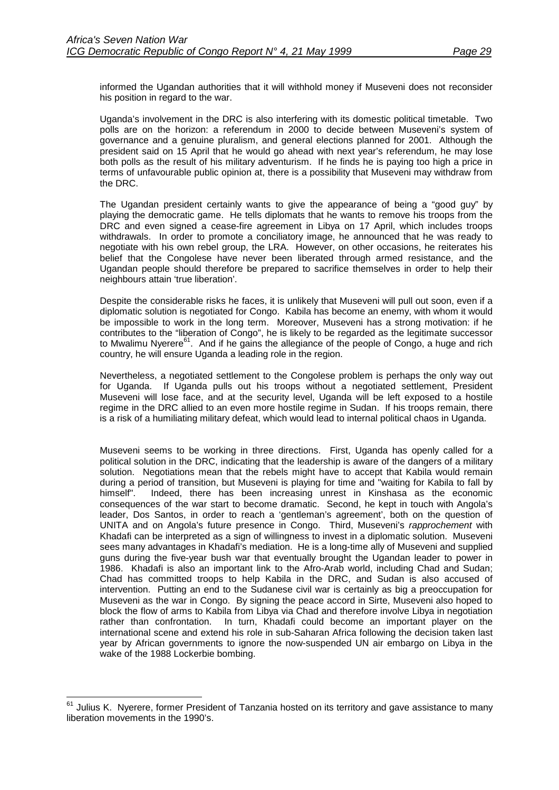informed the Ugandan authorities that it will withhold money if Museveni does not reconsider his position in regard to the war.

Uganda's involvement in the DRC is also interfering with its domestic political timetable. Two polls are on the horizon: a referendum in 2000 to decide between Museveni's system of governance and a genuine pluralism, and general elections planned for 2001. Although the president said on 15 April that he would go ahead with next year's referendum, he may lose both polls as the result of his military adventurism. If he finds he is paying too high a price in terms of unfavourable public opinion at, there is a possibility that Museveni may withdraw from the DRC.

The Ugandan president certainly wants to give the appearance of being a "good guy" by playing the democratic game. He tells diplomats that he wants to remove his troops from the DRC and even signed a cease-fire agreement in Libya on 17 April, which includes troops withdrawals. In order to promote a conciliatory image, he announced that he was ready to negotiate with his own rebel group, the LRA. However, on other occasions, he reiterates his belief that the Congolese have never been liberated through armed resistance, and the Ugandan people should therefore be prepared to sacrifice themselves in order to help their neighbours attain 'true liberation'.

Despite the considerable risks he faces, it is unlikely that Museveni will pull out soon, even if a diplomatic solution is negotiated for Congo. Kabila has become an enemy, with whom it would be impossible to work in the long term. Moreover, Museveni has a strong motivation: if he contributes to the "liberation of Congo", he is likely to be regarded as the legitimate successor to Mwalimu Nyerere $^{61}$ . And if he gains the allegiance of the people of Congo, a huge and rich country, he will ensure Uganda a leading role in the region.

Nevertheless, a negotiated settlement to the Congolese problem is perhaps the only way out for Uganda. If Uganda pulls out his troops without a negotiated settlement, President Museveni will lose face, and at the security level, Uganda will be left exposed to a hostile regime in the DRC allied to an even more hostile regime in Sudan. If his troops remain, there is a risk of a humiliating military defeat, which would lead to internal political chaos in Uganda.

Museveni seems to be working in three directions. First, Uganda has openly called for a political solution in the DRC, indicating that the leadership is aware of the dangers of a military solution. Negotiations mean that the rebels might have to accept that Kabila would remain during a period of transition, but Museveni is playing for time and "waiting for Kabila to fall by himself". Indeed, there has been increasing unrest in Kinshasa as the economic consequences of the war start to become dramatic. Second, he kept in touch with Angola's leader, Dos Santos, in order to reach a 'gentleman's agreement', both on the question of UNITA and on Angola's future presence in Congo. Third, Museveni's *rapprochement* with Khadafi can be interpreted as a sign of willingness to invest in a diplomatic solution. Museveni sees many advantages in Khadafi's mediation. He is a long-time ally of Museveni and supplied guns during the five-year bush war that eventually brought the Ugandan leader to power in 1986. Khadafi is also an important link to the Afro-Arab world, including Chad and Sudan; Chad has committed troops to help Kabila in the DRC, and Sudan is also accused of intervention. Putting an end to the Sudanese civil war is certainly as big a preoccupation for Museveni as the war in Congo. By signing the peace accord in Sirte, Museveni also hoped to block the flow of arms to Kabila from Libya via Chad and therefore involve Libya in negotiation rather than confrontation. In turn, Khadafi could become an important player on the international scene and extend his role in sub-Saharan Africa following the decision taken last year by African governments to ignore the now-suspended UN air embargo on Libya in the wake of the 1988 Lockerbie bombing.

l

 $61$  Julius K. Nyerere, former President of Tanzania hosted on its territory and gave assistance to many liberation movements in the 1990's.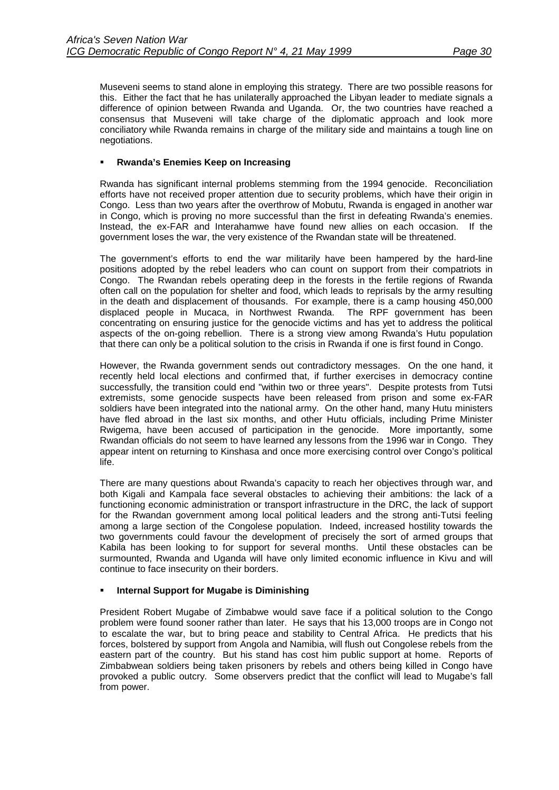Museveni seems to stand alone in employing this strategy. There are two possible reasons for this. Either the fact that he has unilaterally approached the Libyan leader to mediate signals a difference of opinion between Rwanda and Uganda. Or, the two countries have reached a consensus that Museveni will take charge of the diplomatic approach and look more conciliatory while Rwanda remains in charge of the military side and maintains a tough line on negotiations.

## !" **Rwanda's Enemies Keep on Increasing**

Rwanda has significant internal problems stemming from the 1994 genocide. Reconciliation efforts have not received proper attention due to security problems, which have their origin in Congo. Less than two years after the overthrow of Mobutu, Rwanda is engaged in another war in Congo, which is proving no more successful than the first in defeating Rwanda's enemies. Instead, the ex-FAR and Interahamwe have found new allies on each occasion. If the government loses the war, the very existence of the Rwandan state will be threatened.

The government's efforts to end the war militarily have been hampered by the hard-line positions adopted by the rebel leaders who can count on support from their compatriots in Congo. The Rwandan rebels operating deep in the forests in the fertile regions of Rwanda often call on the population for shelter and food, which leads to reprisals by the army resulting in the death and displacement of thousands. For example, there is a camp housing 450,000 displaced people in Mucaca, in Northwest Rwanda. The RPF government has been concentrating on ensuring justice for the genocide victims and has yet to address the political aspects of the on-going rebellion. There is a strong view among Rwanda's Hutu population that there can only be a political solution to the crisis in Rwanda if one is first found in Congo.

However, the Rwanda government sends out contradictory messages. On the one hand, it recently held local elections and confirmed that, if further exercises in democracy contine successfully, the transition could end "within two or three years". Despite protests from Tutsi extremists, some genocide suspects have been released from prison and some ex-FAR soldiers have been integrated into the national army. On the other hand, many Hutu ministers have fled abroad in the last six months, and other Hutu officials, including Prime Minister Rwigema, have been accused of participation in the genocide. More importantly, some Rwandan officials do not seem to have learned any lessons from the 1996 war in Congo. They appear intent on returning to Kinshasa and once more exercising control over Congo's political life.

There are many questions about Rwanda's capacity to reach her objectives through war, and both Kigali and Kampala face several obstacles to achieving their ambitions: the lack of a functioning economic administration or transport infrastructure in the DRC, the lack of support for the Rwandan government among local political leaders and the strong anti-Tutsi feeling among a large section of the Congolese population. Indeed, increased hostility towards the two governments could favour the development of precisely the sort of armed groups that Kabila has been looking to for support for several months. Until these obstacles can be surmounted, Rwanda and Uganda will have only limited economic influence in Kivu and will continue to face insecurity on their borders.

## **Internal Support for Mugabe is Diminishing**

President Robert Mugabe of Zimbabwe would save face if a political solution to the Congo problem were found sooner rather than later. He says that his 13,000 troops are in Congo not to escalate the war, but to bring peace and stability to Central Africa. He predicts that his forces, bolstered by support from Angola and Namibia, will flush out Congolese rebels from the eastern part of the country. But his stand has cost him public support at home. Reports of Zimbabwean soldiers being taken prisoners by rebels and others being killed in Congo have provoked a public outcry. Some observers predict that the conflict will lead to Mugabe's fall from power.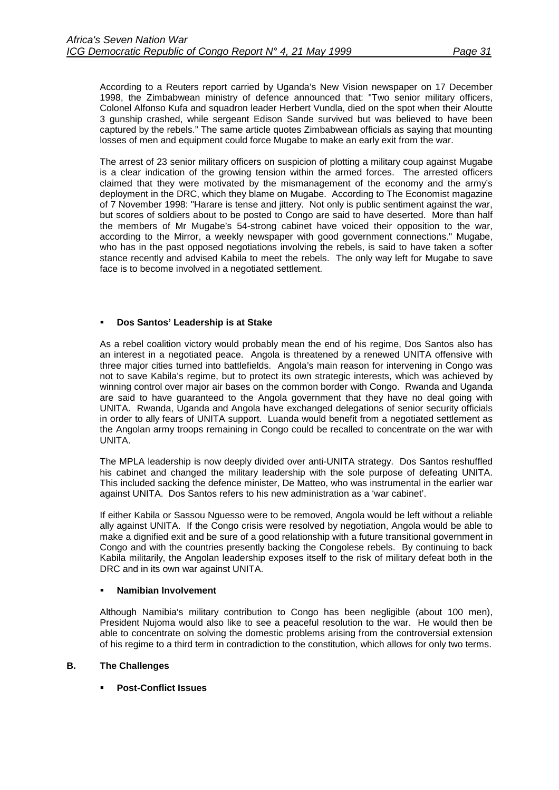<span id="page-34-0"></span>According to a Reuters report carried by Uganda's New Vision newspaper on 17 December 1998, the Zimbabwean ministry of defence announced that: "Two senior military officers, Colonel Alfonso Kufa and squadron leader Herbert Vundla, died on the spot when their Aloutte 3 gunship crashed, while sergeant Edison Sande survived but was believed to have been captured by the rebels." The same article quotes Zimbabwean officials as saying that mounting losses of men and equipment could force Mugabe to make an early exit from the war.

The arrest of 23 senior military officers on suspicion of plotting a military coup against Mugabe is a clear indication of the growing tension within the armed forces. The arrested officers claimed that they were motivated by the mismanagement of the economy and the army's deployment in the DRC, which they blame on Mugabe. According to The Economist magazine of 7 November 1998: "Harare is tense and jittery. Not only is public sentiment against the war, but scores of soldiers about to be posted to Congo are said to have deserted. More than half the members of Mr Mugabe's 54-strong cabinet have voiced their opposition to the war, according to the Mirror, a weekly newspaper with good government connections." Mugabe, who has in the past opposed negotiations involving the rebels, is said to have taken a softer stance recently and advised Kabila to meet the rebels. The only way left for Mugabe to save face is to become involved in a negotiated settlement.

### !" **Dos Santos' Leadership is at Stake**

As a rebel coalition victory would probably mean the end of his regime, Dos Santos also has an interest in a negotiated peace. Angola is threatened by a renewed UNITA offensive with three major cities turned into battlefields. Angola's main reason for intervening in Congo was not to save Kabila's regime, but to protect its own strategic interests, which was achieved by winning control over major air bases on the common border with Congo. Rwanda and Uganda are said to have guaranteed to the Angola government that they have no deal going with UNITA. Rwanda, Uganda and Angola have exchanged delegations of senior security officials in order to ally fears of UNITA support. Luanda would benefit from a negotiated settlement as the Angolan army troops remaining in Congo could be recalled to concentrate on the war with UNITA.

The MPLA leadership is now deeply divided over anti-UNITA strategy. Dos Santos reshuffled his cabinet and changed the military leadership with the sole purpose of defeating UNITA. This included sacking the defence minister, De Matteo, who was instrumental in the earlier war against UNITA. Dos Santos refers to his new administration as a 'war cabinet'.

If either Kabila or Sassou Nguesso were to be removed, Angola would be left without a reliable ally against UNITA. If the Congo crisis were resolved by negotiation, Angola would be able to make a dignified exit and be sure of a good relationship with a future transitional government in Congo and with the countries presently backing the Congolese rebels. By continuing to back Kabila militarily, the Angolan leadership exposes itself to the risk of military defeat both in the DRC and in its own war against UNITA.

### !" **Namibian Involvement**

Although Namibia's military contribution to Congo has been negligible (about 100 men), President Nujoma would also like to see a peaceful resolution to the war. He would then be able to concentrate on solving the domestic problems arising from the controversial extension of his regime to a third term in contradiction to the constitution, which allows for only two terms.

## **B. The Challenges**

!" **Post-Conflict Issues**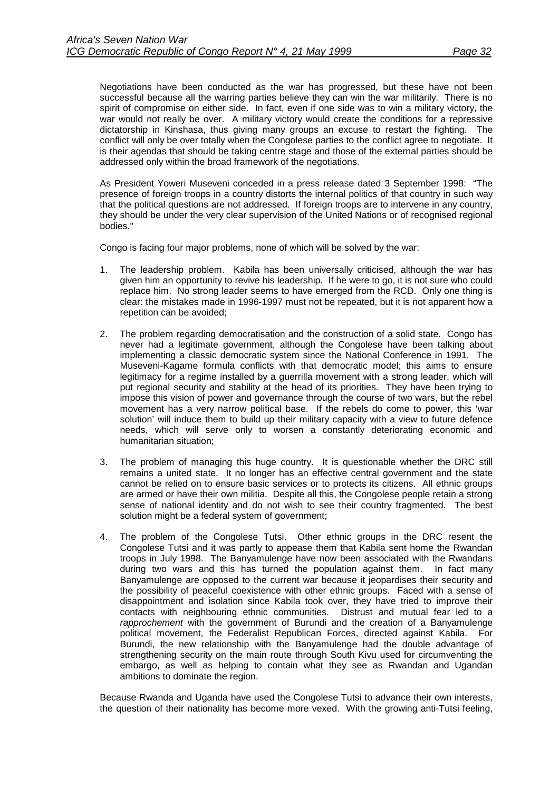Negotiations have been conducted as the war has progressed, but these have not been successful because all the warring parties believe they can win the war militarily. There is no spirit of compromise on either side. In fact, even if one side was to win a military victory, the war would not really be over. A military victory would create the conditions for a repressive dictatorship in Kinshasa, thus giving many groups an excuse to restart the fighting. The conflict will only be over totally when the Congolese parties to the conflict agree to negotiate. It is their agendas that should be taking centre stage and those of the external parties should be addressed only within the broad framework of the negotiations.

As President Yoweri Museveni conceded in a press release dated 3 September 1998: "The presence of foreign troops in a country distorts the internal politics of that country in such way that the political questions are not addressed. If foreign troops are to intervene in any country, they should be under the very clear supervision of the United Nations or of recognised regional bodies."

Congo is facing four major problems, none of which will be solved by the war:

- 1. The leadership problem. Kabila has been universally criticised, although the war has given him an opportunity to revive his leadership. If he were to go, it is not sure who could replace him. No strong leader seems to have emerged from the RCD. Only one thing is clear: the mistakes made in 1996-1997 must not be repeated, but it is not apparent how a repetition can be avoided;
- 2. The problem regarding democratisation and the construction of a solid state. Congo has never had a legitimate government, although the Congolese have been talking about implementing a classic democratic system since the National Conference in 1991. The Museveni-Kagame formula conflicts with that democratic model; this aims to ensure legitimacy for a regime installed by a guerrilla movement with a strong leader, which will put regional security and stability at the head of its priorities. They have been trying to impose this vision of power and governance through the course of two wars, but the rebel movement has a very narrow political base. If the rebels do come to power, this 'war solution' will induce them to build up their military capacity with a view to future defence needs, which will serve only to worsen a constantly deteriorating economic and humanitarian situation;
- 3. The problem of managing this huge country. It is questionable whether the DRC still remains a united state. It no longer has an effective central government and the state cannot be relied on to ensure basic services or to protects its citizens. All ethnic groups are armed or have their own militia. Despite all this, the Congolese people retain a strong sense of national identity and do not wish to see their country fragmented. The best solution might be a federal system of government;
- 4. The problem of the Congolese Tutsi. Other ethnic groups in the DRC resent the Congolese Tutsi and it was partly to appease them that Kabila sent home the Rwandan troops in July 1998. The Banyamulenge have now been associated with the Rwandans during two wars and this has turned the population against them. In fact many Banyamulenge are opposed to the current war because it jeopardises their security and the possibility of peaceful coexistence with other ethnic groups. Faced with a sense of disappointment and isolation since Kabila took over, they have tried to improve their contacts with neighbouring ethnic communities. Distrust and mutual fear led to a *rapprochement* with the government of Burundi and the creation of a Banyamulenge political movement, the Federalist Republican Forces, directed against Kabila. For Burundi, the new relationship with the Banyamulenge had the double advantage of strengthening security on the main route through South Kivu used for circumventing the embargo, as well as helping to contain what they see as Rwandan and Ugandan ambitions to dominate the region.

Because Rwanda and Uganda have used the Congolese Tutsi to advance their own interests, the question of their nationality has become more vexed. With the growing anti-Tutsi feeling,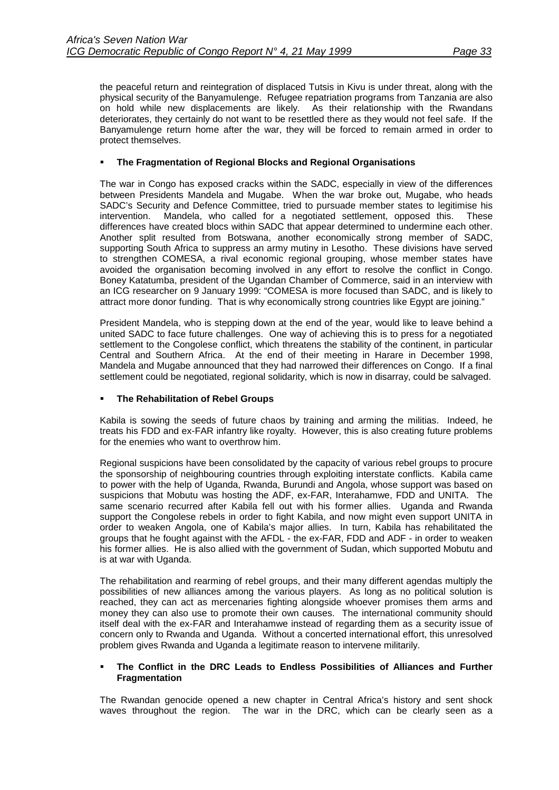the peaceful return and reintegration of displaced Tutsis in Kivu is under threat, along with the physical security of the Banyamulenge. Refugee repatriation programs from Tanzania are also on hold while new displacements are likely. As their relationship with the Rwandans deteriorates, they certainly do not want to be resettled there as they would not feel safe. If the Banyamulenge return home after the war, they will be forced to remain armed in order to protect themselves.

## !" **The Fragmentation of Regional Blocks and Regional Organisations**

The war in Congo has exposed cracks within the SADC, especially in view of the differences between Presidents Mandela and Mugabe. When the war broke out, Mugabe, who heads SADC's Security and Defence Committee, tried to pursuade member states to legitimise his intervention. Mandela, who called for a negotiated settlement, opposed this. These differences have created blocs within SADC that appear determined to undermine each other. Another split resulted from Botswana, another economically strong member of SADC, supporting South Africa to suppress an army mutiny in Lesotho. These divisions have served to strengthen COMESA, a rival economic regional grouping, whose member states have avoided the organisation becoming involved in any effort to resolve the conflict in Congo. Boney Katatumba, president of the Ugandan Chamber of Commerce, said in an interview with an ICG researcher on 9 January 1999: "COMESA is more focused than SADC, and is likely to attract more donor funding. That is why economically strong countries like Egypt are joining."

President Mandela, who is stepping down at the end of the year, would like to leave behind a united SADC to face future challenges. One way of achieving this is to press for a negotiated settlement to the Congolese conflict, which threatens the stability of the continent, in particular Central and Southern Africa. At the end of their meeting in Harare in December 1998, Mandela and Mugabe announced that they had narrowed their differences on Congo. If a final settlement could be negotiated, regional solidarity, which is now in disarray, could be salvaged.

## !" **The Rehabilitation of Rebel Groups**

Kabila is sowing the seeds of future chaos by training and arming the militias. Indeed, he treats his FDD and ex-FAR infantry like royalty. However, this is also creating future problems for the enemies who want to overthrow him.

Regional suspicions have been consolidated by the capacity of various rebel groups to procure the sponsorship of neighbouring countries through exploiting interstate conflicts. Kabila came to power with the help of Uganda, Rwanda, Burundi and Angola, whose support was based on suspicions that Mobutu was hosting the ADF, ex-FAR, Interahamwe, FDD and UNITA. The same scenario recurred after Kabila fell out with his former allies. Uganda and Rwanda support the Congolese rebels in order to fight Kabila, and now might even support UNITA in order to weaken Angola, one of Kabila's major allies. In turn, Kabila has rehabilitated the groups that he fought against with the AFDL - the ex-FAR, FDD and ADF - in order to weaken his former allies. He is also allied with the government of Sudan, which supported Mobutu and is at war with Uganda.

The rehabilitation and rearming of rebel groups, and their many different agendas multiply the possibilities of new alliances among the various players. As long as no political solution is reached, they can act as mercenaries fighting alongside whoever promises them arms and money they can also use to promote their own causes. The international community should itself deal with the ex-FAR and Interahamwe instead of regarding them as a security issue of concern only to Rwanda and Uganda. Without a concerted international effort, this unresolved problem gives Rwanda and Uganda a legitimate reason to intervene militarily.

### !" **The Conflict in the DRC Leads to Endless Possibilities of Alliances and Further Fragmentation**

The Rwandan genocide opened a new chapter in Central Africa's history and sent shock waves throughout the region. The war in the DRC, which can be clearly seen as a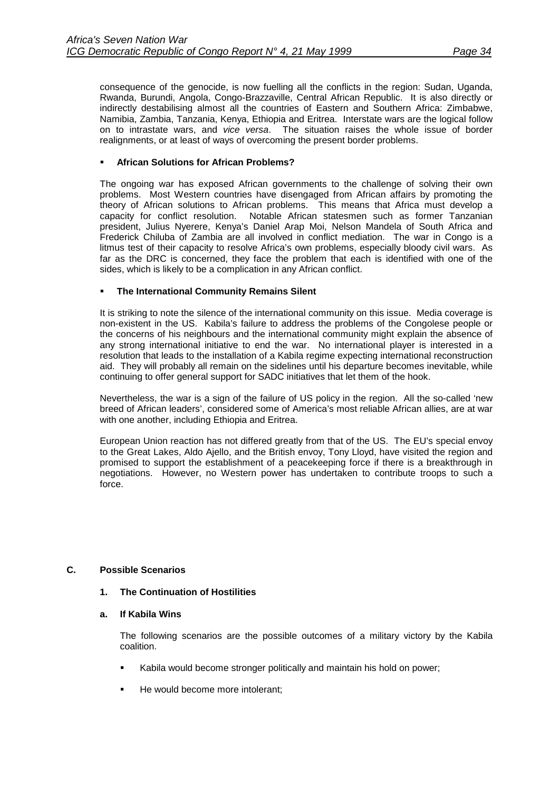<span id="page-37-0"></span>consequence of the genocide, is now fuelling all the conflicts in the region: Sudan, Uganda, Rwanda, Burundi, Angola, Congo-Brazzaville, Central African Republic. It is also directly or indirectly destabilising almost all the countries of Eastern and Southern Africa: Zimbabwe, Namibia, Zambia, Tanzania, Kenya, Ethiopia and Eritrea. Interstate wars are the logical follow on to intrastate wars, and *vice versa*. The situation raises the whole issue of border realignments, or at least of ways of overcoming the present border problems.

## !" **African Solutions for African Problems?**

The ongoing war has exposed African governments to the challenge of solving their own problems. Most Western countries have disengaged from African affairs by promoting the theory of African solutions to African problems. This means that Africa must develop a capacity for conflict resolution. Notable African statesmen such as former Tanzanian president, Julius Nyerere, Kenya's Daniel Arap Moi, Nelson Mandela of South Africa and Frederick Chiluba of Zambia are all involved in conflict mediation. The war in Congo is a litmus test of their capacity to resolve Africa's own problems, especially bloody civil wars. As far as the DRC is concerned, they face the problem that each is identified with one of the sides, which is likely to be a complication in any African conflict.

## !" **The International Community Remains Silent**

It is striking to note the silence of the international community on this issue. Media coverage is non-existent in the US. Kabila's failure to address the problems of the Congolese people or the concerns of his neighbours and the international community might explain the absence of any strong international initiative to end the war. No international player is interested in a resolution that leads to the installation of a Kabila regime expecting international reconstruction aid. They will probably all remain on the sidelines until his departure becomes inevitable, while continuing to offer general support for SADC initiatives that let them of the hook.

Nevertheless, the war is a sign of the failure of US policy in the region. All the so-called 'new breed of African leaders', considered some of America's most reliable African allies, are at war with one another, including Ethiopia and Eritrea.

European Union reaction has not differed greatly from that of the US. The EU's special envoy to the Great Lakes, Aldo Ajello, and the British envoy, Tony Lloyd, have visited the region and promised to support the establishment of a peacekeeping force if there is a breakthrough in negotiations. However, no Western power has undertaken to contribute troops to such a force.

## **C. Possible Scenarios**

### **1. The Continuation of Hostilities**

### **a. If Kabila Wins**

The following scenarios are the possible outcomes of a military victory by the Kabila coalition.

- Kabila would become stronger politically and maintain his hold on power;
- He would become more intolerant;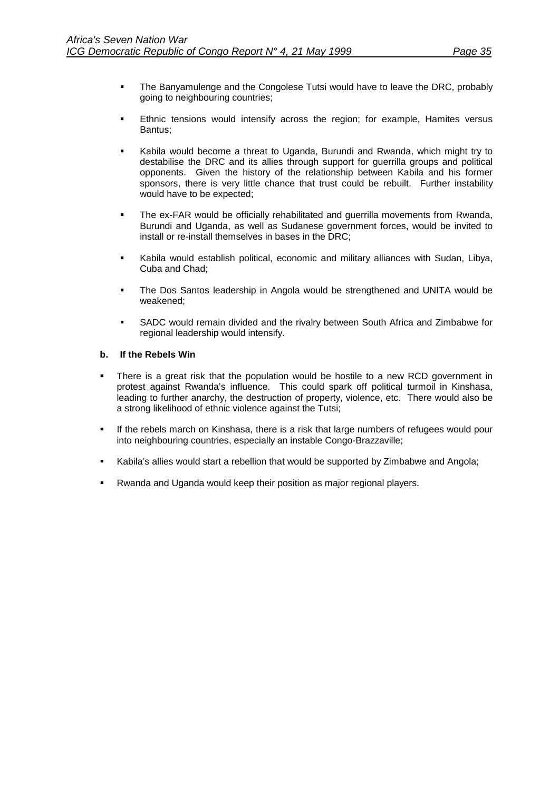- <span id="page-38-0"></span>" The Banyamulenge and the Congolese Tutsi would have to leave the DRC, probably going to neighbouring countries;
- Ethnic tensions would intensify across the region; for example, Hamites versus Bantus;
- Kabila would become a threat to Uganda, Burundi and Rwanda, which might try to destabilise the DRC and its allies through support for guerrilla groups and political opponents. Given the history of the relationship between Kabila and his former sponsors, there is very little chance that trust could be rebuilt. Further instability would have to be expected;
- !" The ex-FAR would be officially rehabilitated and guerrilla movements from Rwanda, Burundi and Uganda, as well as Sudanese government forces, would be invited to install or re-install themselves in bases in the DRC;
- Kabila would establish political, economic and military alliances with Sudan, Libya, Cuba and Chad;
- The Dos Santos leadership in Angola would be strengthened and UNITA would be weakened;
- **. SADC would remain divided and the rivalry between South Africa and Zimbabwe for** regional leadership would intensify.

## **b. If the Rebels Win**

- !" There is a great risk that the population would be hostile to a new RCD government in protest against Rwanda's influence. This could spark off political turmoil in Kinshasa, leading to further anarchy, the destruction of property, violence, etc. There would also be a strong likelihood of ethnic violence against the Tutsi;
- If the rebels march on Kinshasa, there is a risk that large numbers of refugees would pour into neighbouring countries, especially an instable Congo-Brazzaville;
- Kabila's allies would start a rebellion that would be supported by Zimbabwe and Angola;
- Rwanda and Uganda would keep their position as major regional players.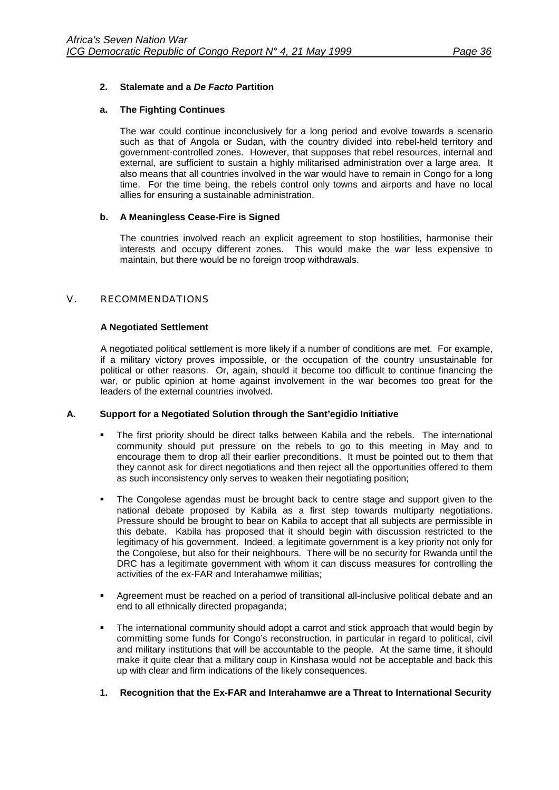## <span id="page-39-0"></span>**2. Stalemate and a** *De Facto* **Partition**

## **a. The Fighting Continues**

The war could continue inconclusively for a long period and evolve towards a scenario such as that of Angola or Sudan, with the country divided into rebel-held territory and government-controlled zones. However, that supposes that rebel resources, internal and external, are sufficient to sustain a highly militarised administration over a large area. It also means that all countries involved in the war would have to remain in Congo for a long time. For the time being, the rebels control only towns and airports and have no local allies for ensuring a sustainable administration.

## **b. A Meaningless Cease-Fire is Signed**

The countries involved reach an explicit agreement to stop hostilities, harmonise their interests and occupy different zones. This would make the war less expensive to maintain, but there would be no foreign troop withdrawals.

### V. RECOMMENDATIONS

### **A Negotiated Settlement**

A negotiated political settlement is more likely if a number of conditions are met. For example, if a military victory proves impossible, or the occupation of the country unsustainable for political or other reasons. Or, again, should it become too difficult to continue financing the war, or public opinion at home against involvement in the war becomes too great for the leaders of the external countries involved.

## **A. Support for a Negotiated Solution through the Sant'egidio Initiative**

- The first priority should be direct talks between Kabila and the rebels. The international community should put pressure on the rebels to go to this meeting in May and to encourage them to drop all their earlier preconditions. It must be pointed out to them that they cannot ask for direct negotiations and then reject all the opportunities offered to them as such inconsistency only serves to weaken their negotiating position;
- !" The Congolese agendas must be brought back to centre stage and support given to the national debate proposed by Kabila as a first step towards multiparty negotiations. Pressure should be brought to bear on Kabila to accept that all subjects are permissible in this debate. Kabila has proposed that it should begin with discussion restricted to the legitimacy of his government. Indeed, a legitimate government is a key priority not only for the Congolese, but also for their neighbours. There will be no security for Rwanda until the DRC has a legitimate government with whom it can discuss measures for controlling the activities of the ex-FAR and Interahamwe militias;
- !" Agreement must be reached on a period of transitional all-inclusive political debate and an end to all ethnically directed propaganda;
- " The international community should adopt a carrot and stick approach that would begin by committing some funds for Congo's reconstruction, in particular in regard to political, civil and military institutions that will be accountable to the people. At the same time, it should make it quite clear that a military coup in Kinshasa would not be acceptable and back this up with clear and firm indications of the likely consequences.
- **1. Recognition that the Ex-FAR and Interahamwe are a Threat to International Security**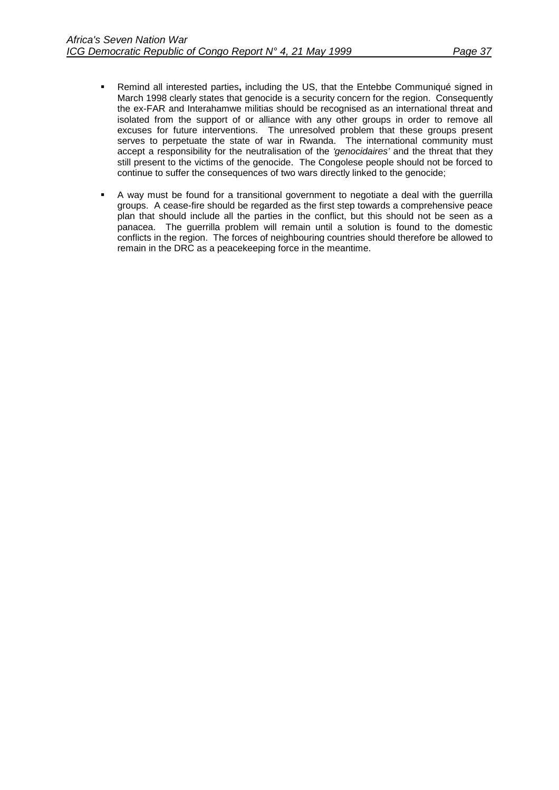- !" Remind all interested parties**,** including the US, that the Entebbe Communiqué signed in March 1998 clearly states that genocide is a security concern for the region. Consequently the ex-FAR and Interahamwe militias should be recognised as an international threat and isolated from the support of or alliance with any other groups in order to remove all excuses for future interventions. The unresolved problem that these groups present serves to perpetuate the state of war in Rwanda. The international community must accept a responsibility for the neutralisation of the *'genocidaires'* and the threat that they still present to the victims of the genocide. The Congolese people should not be forced to continue to suffer the consequences of two wars directly linked to the genocide;
- !" A way must be found for a transitional government to negotiate a deal with the guerrilla groups. A cease-fire should be regarded as the first step towards a comprehensive peace plan that should include all the parties in the conflict, but this should not be seen as a panacea. The guerrilla problem will remain until a solution is found to the domestic conflicts in the region. The forces of neighbouring countries should therefore be allowed to remain in the DRC as a peacekeeping force in the meantime.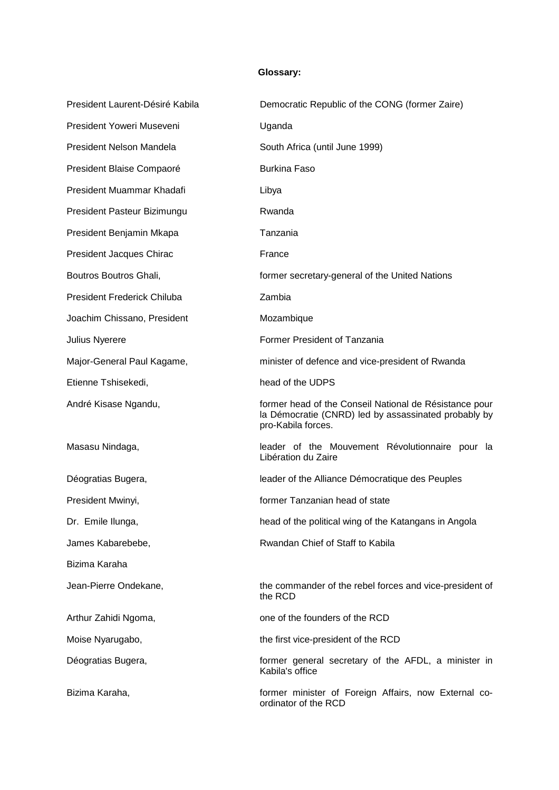## **Glossary:**

| President Laurent-Désiré Kabila    | Democratic Republic of the CONG (former Zaire)                                                                                       |
|------------------------------------|--------------------------------------------------------------------------------------------------------------------------------------|
| President Yoweri Museveni          | Uganda                                                                                                                               |
| President Nelson Mandela           | South Africa (until June 1999)                                                                                                       |
| President Blaise Compaoré          | <b>Burkina Faso</b>                                                                                                                  |
| President Muammar Khadafi          | Libya                                                                                                                                |
| President Pasteur Bizimungu        | Rwanda                                                                                                                               |
| President Benjamin Mkapa           | Tanzania                                                                                                                             |
| President Jacques Chirac           | France                                                                                                                               |
| Boutros Boutros Ghali,             | former secretary-general of the United Nations                                                                                       |
| <b>President Frederick Chiluba</b> | Zambia                                                                                                                               |
| Joachim Chissano, President        | Mozambique                                                                                                                           |
| Julius Nyerere                     | Former President of Tanzania                                                                                                         |
| Major-General Paul Kagame,         | minister of defence and vice-president of Rwanda                                                                                     |
| Etienne Tshisekedi,                | head of the UDPS                                                                                                                     |
| André Kisase Ngandu,               | former head of the Conseil National de Résistance pour<br>la Démocratie (CNRD) led by assassinated probably by<br>pro-Kabila forces. |
| Masasu Nindaga,                    | leader of the Mouvement Révolutionnaire pour la<br>Libération du Zaire                                                               |
| Déogratias Bugera,                 | leader of the Alliance Démocratique des Peuples                                                                                      |
| President Mwinyi,                  | former Tanzanian head of state                                                                                                       |
| Dr. Emile Ilunga,                  | head of the political wing of the Katangans in Angola                                                                                |
| James Kabarebebe,                  | Rwandan Chief of Staff to Kabila                                                                                                     |
| Bizima Karaha                      |                                                                                                                                      |
| Jean-Pierre Ondekane,              | the commander of the rebel forces and vice-president of<br>the RCD                                                                   |
| Arthur Zahidi Ngoma,               | one of the founders of the RCD                                                                                                       |
| Moise Nyarugabo,                   | the first vice-president of the RCD                                                                                                  |
| Déogratias Bugera,                 | former general secretary of the AFDL, a minister in<br>Kabila's office                                                               |
| Bizima Karaha,                     | former minister of Foreign Affairs, now External co-                                                                                 |

ordinator of the RCD